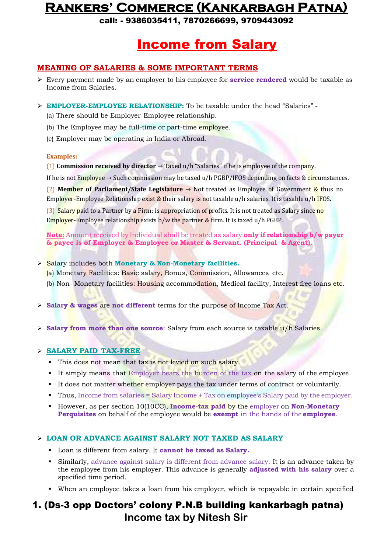call: - 9386035411, 7870266699, 9709443092

## Income from Salary

### **MEANING OF SALARIES & SOME IMPORTANT TERMS**

- Every payment made by an employer to his employee for **service rendered** would be taxable as Income from Salaries.
- **EMPLOYER-EMPLOYEE RELATIONSHIP:** To be taxable under the head "Salaries"
	- (a) There should be Employer-Employee relationship.
	- (b) The Employee may be full-time or part-time employee.
	- (c) Employer may be operating in India or Abroad.

#### **Examples:**

(1) **Commission received by director** → Taxed u/h "Salaries" if he is employee of the company.

If he is not Employee  $\rightarrow$  Such commission may be taxed u/h PGBP/IFOS depending on facts & circumstances.

(2) **Member of Parliament/State Legislature** → Not treated as Employee of Government & thus no Employer-Employee Relationship exist & their salary is not taxable u/h salaries. It is taxable u/h IFOS.

(3) Salary paid to a Partner by a Firm: is appropriation of profits. It is not treated as Salary since no Employer-Employee relationship exists  $b/w$  the partner & firm. It is taxed  $u/h PGBP$ .

**Note:** Amount received by Individual shall be treated as salary **only if relationship b/w payer & payee is of Employer & Employee or Master & Servant. (Principal & Agent).**

- Salary includes both **Monetary & Non-Monetary facilities.**
	- (a) Monetary Facilities: Basic salary, Bonus, Commission, Allowances etc.
	- (b) Non- Monetary facilities: Housing accommodation, Medical facility, Interest free loans etc.
- **Salary & wages** are **not different** terms for the purpose of Income Tax Act.
- $\triangleright$  **Salary from more than one source**: Salary from each source is taxable  $u/h$  Salaries.

#### **SALARY PAID TAX-FREE**

- This does not mean that tax is not levied on such salary.
- It simply means that Employer bears the burden of the tax on the salary of the employee.
- It does not matter whether employer pays the tax under terms of contract or voluntarily.
- Thus, Income from salaries  $=$  Salary Income  $+$  Tax on employee's Salary paid by the employer.
- **However, as per section 10(10CC), Income-tax paid by the employer on <b>Non-Monetary Perquisites** on behalf of the employee would be **exempt** in the hands of the **employee**.

#### **LOAN OR ADVANCE AGAINST SALARY NOT TAXED AS SALARY**

- Loan is different from salary. It **cannot be taxed as Salary.**
- Similarly, advance against salary is different from advance salary. It is an advance taken by the employee from his employer. This advance is generally **adjusted with his salary** over a specified time period.
- When an employee takes a loan from his employer, which is repayable in certain specified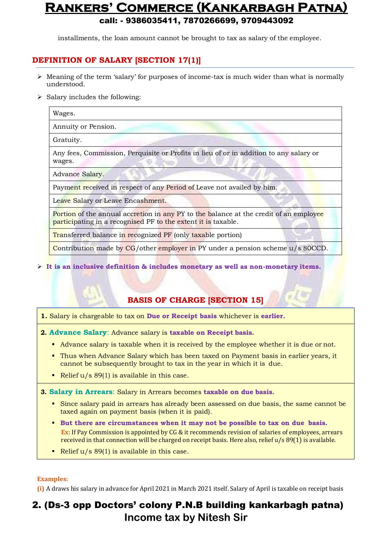installments, the loan amount cannot be brought to tax as salary of the employee.

### **DEFINITION OF SALARY [SECTION 17(1)]**

- $\triangleright$  Meaning of the term 'salary' for purposes of income-tax is much wider than what is normally understood.
- $\triangleright$  Salary includes the following:

Wages.

Annuity or Pension.

Gratuity.

Any fees, Commission, Perquisite or Profits in lieu of or in addition to any salary or wages.

Advance Salary.

Payment received in respect of any Period of Leave not availed by him.

Leave Salary or Leave Encashment.

Portion of the annual accretion in any PY to the balance at the credit of an employee participating in a recognised PF to the extent it is taxable.

Transferred balance in recognized PF (only taxable portion)

Contribution made by CG/other employer in PY under a pension scheme u/s 80CCD.

**It is an inclusive definition & includes monetary as well as non-monetary items.**

### **BASIS OF CHARGE [SECTION 15]**

- **1.** Salary is chargeable to tax on **Due or Receipt basis** whichever is **earlier.**
- **2. Advance Salary**: Advance salary is **taxable on Receipt basis.**
	- Advance salary is taxable when it is received by the employee whether it is due or not.
	- Thus when Advance Salary which has been taxed on Payment basis in earlier years, it cannot be subsequently brought to tax in the year in which it is due.
	- Relief  $u/s$  89(1) is available in this case.

**3. Salary in Arrears**: Salary in Arrears becomes **taxable on due basis.**

- Since salary paid in arrears has already been assessed on due basis, the same cannot be taxed again on payment basis (when it is paid).
- **But there are circumstances when it may not be possible to tax on due basis. Ex:** If Pay Commission is appointed by CG & it recommends revision of salaries of employees, arrears received in that connection will be charged on receipt basis. Here also, relief u/s 89(1) is available.
- Relief  $u/s$  89(1) is available in this case.

#### **Examples:**

**(i)** A draws his salary in advance for April 2021 in March 2021 itself. Salary of April is taxable on receipt basis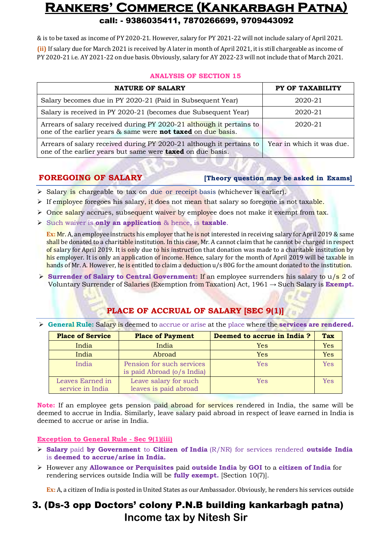& is to be taxed as income of PY 2020-21. However, salary for PY 2021-22 will not include salary of April 2021. **(ii)** If salary due for March 2021 is received by A later in month of April 2021, it is still chargeable as income of PY 2020-21 i.e. AY 2021-22 on due basis. Obviously, salary for AY 2022-23 will not include that of March 2021.

#### **ANALYSIS OF SECTION 15**

| <b>NATURE OF SALARY</b>                                                                                                                     | PY OF TAXABILITY          |
|---------------------------------------------------------------------------------------------------------------------------------------------|---------------------------|
| Salary becomes due in PY 2020-21 (Paid in Subsequent Year)                                                                                  | 2020-21                   |
| Salary is received in PY 2020-21 (becomes due Subsequent Year)                                                                              | 2020-21                   |
| Arrears of salary received during PY 2020-21 although it pertains to<br>one of the earlier years & same were <b>not taxed</b> on due basis. | 2020-21                   |
| Arrears of salary received during PY 2020-21 although it pertains to<br>one of the earlier years but same were <b>taxed</b> on due basis.   | Year in which it was due. |

#### **FOREGOING OF SALARY [Theory question may be asked in Exams]**

- $\triangleright$  Salary is chargeable to tax on due or receipt basis (whichever is earlier).
- If employee foregoes his salary, it does not mean that salary so foregone is not taxable.
- $\triangleright$  Once salary accrues, subsequent waiver by employee does not make it exempt from tax.
- Such waiver is **only an application** & hence, is **taxable**.

**Ex:** Mr. A, an employee instructs his employer that he is not interested in receiving salary for April 2019 & same shall be donated to a charitable institution. In this case, Mr. A cannot claim that he cannot be charged in respect of salary for April 2019. It is only due to his instruction that donation was made to a charitable institution by his employer. It is only an application of income. Hence, salary for the month of April 2019 will be taxable in hands of Mr. A. However, he is entitled to claim a deduction  $u/s 80G$  for the amount donated to the institution.

**Surrender of Salary to Central Government: If an employee surrenders his salary to u/s 2 of** Voluntary Surrender of Salaries (Exemption from Taxation) Act, 1961 → Such Salary is **Exempt.**

### **PLACE OF ACCRUAL OF SALARY [SEC 9(1)]**

**General Rule:** Salary is deemed to accrue or arise at the place where the **services are rendered.**

| <b>Place of Service</b>              | <b>Place of Payment</b>                                 | Deemed to accrue in India? | <b>Tax</b> |
|--------------------------------------|---------------------------------------------------------|----------------------------|------------|
| India                                | India                                                   | Yes                        | Yes        |
| India                                | Abroad                                                  | Yes                        | Yes        |
| India                                | Pension for such services<br>is paid Abroad (o/s India) | Yes                        | <b>Yes</b> |
| Leaves Earned in<br>service in India | Leave salary for such<br>leaves is paid abroad          | Yes                        | Yes        |

**Note:** If an employee gets pension paid abroad for services rendered in India, the same will be deemed to accrue in India. Similarly, leave salary paid abroad in respect of leave earned in India is deemed to accrue or arise in India.

#### **Exception to General Rule - Sec 9(1)(iii)**

- **Salary** paid **by Government** to **Citizen of India** (R/NR) for services rendered **outside India** is **deemed to accrue/arise in India.**
- However any **Allowance or Perquisites** paid **outside India** by **GOI** to a **citizen of India** for rendering services outside India will be **fully exempt.** [Section 10(7)].

**Ex:** A, a citizen of India is posted in United States as our Ambassador. Obviously, he renders his services outside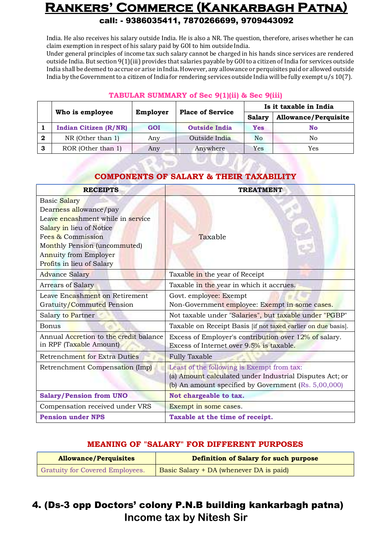India. He also receives his salary outside India. He is also a NR. The question, therefore, arises whether he can claim exemption in respect of his salary paid by GOI to him outside India.

Under general principles of income tax such salary cannot be charged in his hands since services are rendered outside India. But section 9(1)(iii) provides that salaries payable by GOI to a citizen of India for services outside India shall be deemed to accrue or arise inIndia. However, any allowance or perquisites paid or allowed outside India by the Government to a citizen of India for rendering services outside India will be fully exempt  $u/s 10(7)$ .

#### **TABULAR SUMMARY of Sec 9(1)(ii) & Sec 9(iii)**

|   | Who is employee              | <b>Place of Service</b> |                      | Is it taxable in India |                             |  |
|---|------------------------------|-------------------------|----------------------|------------------------|-----------------------------|--|
|   |                              | Employer                |                      | Salarv                 | <b>Allowance/Perquisite</b> |  |
|   | <b>Indian Citizen (R/NR)</b> | GOI                     | <b>Outside India</b> | <b>Yes</b>             | No                          |  |
| 2 | $NR$ (Other than 1)          | Any                     | Outside India        | N <sub>o</sub>         | No                          |  |
| 3 | ROR (Other than 1)           | Any                     | Anywhere             | Yes                    | Yes                         |  |

### **COMPONENTS OF SALARY & THEIR TAXABILITY**

| <b>RECEIPTS</b>                                                                                                              | <b>TREATMENT</b>                                                                                                                                                |
|------------------------------------------------------------------------------------------------------------------------------|-----------------------------------------------------------------------------------------------------------------------------------------------------------------|
| Basic Salary<br>Dearness allowance/pay<br>Leave encashment while in service<br>Salary in lieu of Notice<br>Fees & Commission |                                                                                                                                                                 |
| Monthly Pension (uncommuted)<br>Annuity from Employer<br>Profits in lieu of Salary                                           | Taxable                                                                                                                                                         |
| <b>Advance Salary</b>                                                                                                        | Taxable in the year of Receipt                                                                                                                                  |
| <b>Arrears of Salary</b>                                                                                                     | Taxable in the year in which it accrues.                                                                                                                        |
| Leave Encashment on Retirement                                                                                               | Govt. employee: Exempt                                                                                                                                          |
| Gratuity/Commuted Pension                                                                                                    | Non-Government employee: Exempt in some cases.                                                                                                                  |
| Salary to Partner                                                                                                            | Not taxable under "Salaries", but taxable under "PGBP"                                                                                                          |
| <b>Bonus</b>                                                                                                                 | Taxable on Receipt Basis [if not taxed earlier on due basis].                                                                                                   |
| Annual Accretion to the credit balance<br>in RPF (Taxable Amount)                                                            | Excess of Employer's contribution over 12% of salary.<br>Excess of Internet over 9.5% is taxable.                                                               |
| Retrenchment for Extra Duties                                                                                                | <b>Fully Taxable</b>                                                                                                                                            |
| Retrenchment Compensation (Imp)                                                                                              | Least of the following is Exempt from tax:<br>(a) Amount calculated under Industrial Disputes Act; or<br>(b) An amount specified by Government $(Rs. 5,00,000)$ |
| <b>Salary/Pension from UNO</b>                                                                                               | Not chargeable to tax.                                                                                                                                          |
| Compensation received under VRS                                                                                              | Exempt in some cases.                                                                                                                                           |
| <b>Pension under NPS</b>                                                                                                     | Taxable at the time of receipt.                                                                                                                                 |

### **MEANING OF "SALARY" FOR DIFFERENT PURPOSES**

| <b>Allowance/Perquisites</b>           | Definition of Salary for such purpose   |
|----------------------------------------|-----------------------------------------|
| <b>Gratuity for Covered Employees.</b> | Basic Salary + DA (whenever DA is paid) |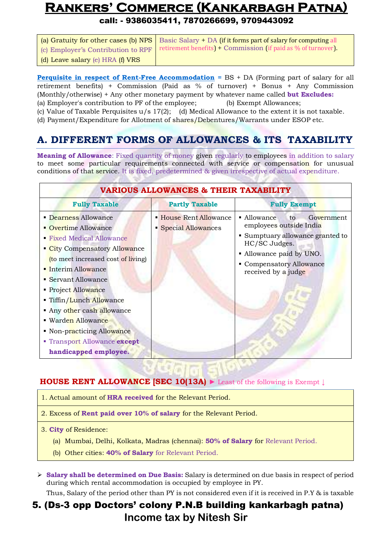call: - 9386035411, 7870266699, 9709443092

|                                  | (a) Gratuity for other cases (b) NPS   Basic Salary $+$ DA (if it forms part of salary for computing all |
|----------------------------------|----------------------------------------------------------------------------------------------------------|
|                                  | (c) Employer's Contribution to RPF retirement benefits) + Commission (if paid as % of turnover).         |
| (d) Leave salary (e) HRA (f) VRS |                                                                                                          |

**Perquisite in respect of Rent-Free Accommodation =** BS + DA (Forming part of salary for all retirement benefits) + Commission (Paid as % of turnover) + Bonus + Any Commission (Monthly/otherwise) + Any other monetary payment by whatever name called **but Excludes:** (a) Employer's contribution to PF of the employee; (b) Exempt Allowances;

(c) Value of Taxable Perquisites  $u/s$  17(2); (d) Medical Allowance to the extent it is not taxable.

(d) Payment/Expenditure for Allotment of shares/Debentures/Warrants under ESOP etc.

### **A. DIFFERENT FORMS OF ALLOWANCES & ITS TAXABILITY**

**Meaning of Allowance**: Fixed quantity of money given regularly to employees in addition to salary to meet some particular requirements connected with service or compensation for unusual conditions of that service. It is fixed, predetermined & given irrespective of actual expenditure.

| <b>VARIOUS ALLOWANCES &amp; THEIR TAXABILITY</b>                                                                                                                                                                                                                                                                                                                                        |                                              |                                                                                                                                                                                               |  |
|-----------------------------------------------------------------------------------------------------------------------------------------------------------------------------------------------------------------------------------------------------------------------------------------------------------------------------------------------------------------------------------------|----------------------------------------------|-----------------------------------------------------------------------------------------------------------------------------------------------------------------------------------------------|--|
| <b>Fully Taxable</b>                                                                                                                                                                                                                                                                                                                                                                    | <b>Partly Taxable</b>                        | <b>Fully Exempt</b>                                                                                                                                                                           |  |
| • Dearness Allowance<br><b>Overtime Allowance</b><br>• Fixed Medical Allowance<br>City Compensatory Allowance<br>(to meet increased cost of living)<br>• Interim Allowance<br>• Servant Allowance<br>Project Allowance<br>Tiffin/Lunch Allowance<br>Any other cash allowance<br>■ Warden Allowance<br>• Non-practicing Allowance<br>Transport Allowance except<br>handicapped employee. | • House Rent Allowance<br>Special Allowances | • Allowance<br>Government<br>to.<br>employees outside India<br>• Sumptuary allowance granted to<br>HC/SC Judges.<br>• Allowance paid by UNO.<br>Compensatory Allowance<br>received by a judge |  |

#### **HOUSE RENT ALLOWANCE [SEC 10(13A)** ► Least of the following is Exempt ↓

- 1. Actual amount of **HRA received** for the Relevant Period.
- 2. Excess of **Rent paid over 10% of salary** for the Relevant Period.
- 3. **City** of Residence:
	- (a) Mumbai, Delhi, Kolkata, Madras (chennai): **50% of Salary** for Relevant Period.
	- (b) Other cities: **40% of Salary** for Relevant Period.
- **Salary shall be determined on Due Basis:** Salary is determined on due basis in respect of period during which rental accommodation is occupied by employee in PY.

Thus, Salary of the period other than PY is not considered even if it is received in P.Y & is taxable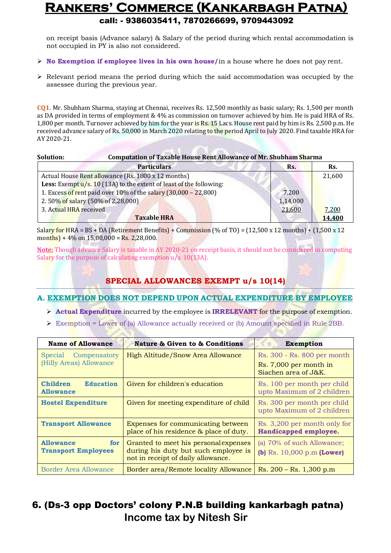on receipt basis (Advance salary) & Salary of the period during which rental accommodation is not occupied in PY is also not considered.

- **No Exemption if employee lives in his own house/**in a house where he does not pay rent.
- $\triangleright$  Relevant period means the period during which the said accommodation was occupied by the assessee during the previous year.

**CQ1.** Mr. Shubham Sharma, staying at Chennai, receives Rs. 12,500 monthly as basic salary; Rs. 1,500 per month as DA provided in terms of employment & 4% as commission on turnover achieved by him. He is paid HRA of Rs. 1,800 per month. Turnover achieved by him for the year is Rs. 15 Lacs. House rent paid by him is Rs. 2,500 p.m. He received advance salary of Rs. 50,000 in March 2020 relating to the period April to July 2020. Find taxable HRA for AY 2020-21.

| Solution:              | <b>Computation of Taxable House Rent Allowance of Mr. Shubham Sharma</b>      |          |        |
|------------------------|-------------------------------------------------------------------------------|----------|--------|
|                        | <b>Particulars</b>                                                            | Rs.      | Rs.    |
|                        | Actual House Rent allowance (Rs. 1800 x 12 months)                            |          | 21,600 |
|                        | <b>Less:</b> Exempt $u/s$ . 10 (13A) to the extent of least of the following: |          |        |
|                        | 1. Excess of rent paid over 10% of the salary (30,000 - 22,800)               | 7,200    |        |
|                        | 2.50% of salary (50% of 2,28,000)                                             | 1,14,000 |        |
| 3. Actual HRA received |                                                                               | 21,600   | 7,200  |
|                        | <b>Taxable HRA</b>                                                            |          | 14,400 |

Salary for HRA = BS + DA (Retirement Benefits) + Commission (% of TO) =  $(12,500 \times 12 \text{ months}) + (1,500 \times 12 \text{ months})$ months) +  $4\%$  on 15,00,000 = Rs. 2,28,000.

**Note:** Though advance Salary is taxable in AY 2020-21 on receipt basis, it should not be considered in computing Salary for the purpose of calculating exemption u/s. 10(13A).

### **SPECIAL ALLOWANCES EXEMPT u/s 10(14)**

### **A. EXEMPTION DOES NOT DEPEND UPON ACTUAL EXPENDITURE BY EMPLOYEE**

- **Actual Expenditure** incurred by the employee is **IRRELEVANT** for the purpose of exemption.
- $\triangleright$  Exemption = Lower of (a) Allowance actually received or (b) Amount specified in Rule 2BB.

| <b>Name of Allowance</b>                                | <b>Nature &amp; Given to &amp; Conditions</b>                                                                       | <b>Exemption</b>                                                              |
|---------------------------------------------------------|---------------------------------------------------------------------------------------------------------------------|-------------------------------------------------------------------------------|
| Compensatory<br>Special<br>(Hilly Areas) Allowance      | High Altitude/Snow Area Allowance                                                                                   | Rs. 300 - Rs. 800 per month<br>Rs. 7,000 per month in<br>Siachen area of J&K. |
| <b>Children</b><br><b>Education</b><br><b>Allowance</b> | Given for children's education                                                                                      | Rs. 100 per month per child<br>upto Maximum of 2 children                     |
| <b>Hostel Expenditure</b>                               | Given for meeting expenditure of child                                                                              | Rs. 300 per month per child<br>upto Maximum of 2 children                     |
| <b>Transport Allowance</b>                              | Expenses for communicating between<br>place of his residence & place of duty.                                       | Rs. 3,200 per month only for<br>Handicapped employee.                         |
| <b>Allowance</b><br>for<br><b>Transport Employees</b>   | Granted to meet his personal expenses<br>during his duty but such employee is<br>not in receipt of daily allowance. | (a) 70% of such Allowance;<br>(b) $Rs. 10,000 p.m (Lower)$                    |
| Border Area Allowance                                   | Border area/Remote locality Allowance                                                                               | $Rs. 200 - Rs. 1,300 p.m$                                                     |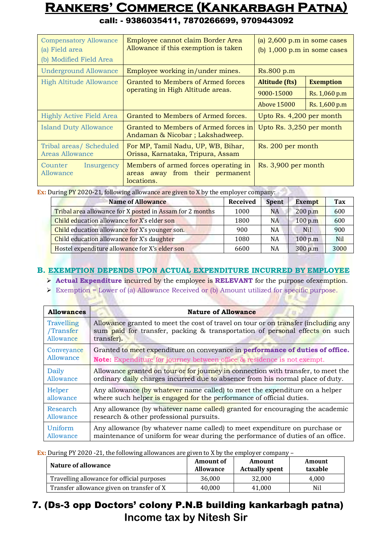| <b>Compensatory Allowance</b><br>(a) Field area<br>(b) Modified Field Area | Employee cannot claim Border Area<br>Allowance if this exemption is taken             | (a) $2,600$ p.m in some cases<br>(b) $1,000$ p.m in some cases |  |  |
|----------------------------------------------------------------------------|---------------------------------------------------------------------------------------|----------------------------------------------------------------|--|--|
| <b>Underground Allowance</b>                                               | Employee working in/under mines.                                                      | Rs.800 p.m                                                     |  |  |
| <b>High Altitude Allowance</b>                                             | Granted to Members of Armed forces                                                    | <b>Altitude (fts)</b><br><b>Exemption</b>                      |  |  |
|                                                                            | operating in High Altitude areas.                                                     | 9000-15000<br>Rs. 1,060 p.m                                    |  |  |
|                                                                            |                                                                                       | Rs. 1,600 p.m<br>Above 15000                                   |  |  |
| <b>Highly Active Field Area</b>                                            | Granted to Members of Armed forces.                                                   | Upto Rs. 4,200 per month                                       |  |  |
| <b>Island Duty Allowance</b>                                               | Granted to Members of Armed forces in<br>Andaman & Nicobar; Lakshadweep.              | Upto Rs. 3,250 per month                                       |  |  |
| Tribal areas/ Scheduled<br><b>Areas Allowance</b>                          | For MP, Tamil Nadu, UP, WB, Bihar,<br>Orissa, Karnataka, Tripura, Assam               | Rs. 200 per month                                              |  |  |
| Counter<br>Insurgency<br>Allowance                                         | Members of armed forces operating in<br>areas away from their permanent<br>locations. | Rs. 3,900 per month                                            |  |  |

call: - 9386035411, 7870266699, 9709443092

**Ex:** During PY 2020-21, following allowance are given to X by the employer company:

| <b>Name of Allowance</b>                                 | <b>Received</b> | <b>Spent</b> | <b>Exempt</b> | Tax        |
|----------------------------------------------------------|-----------------|--------------|---------------|------------|
| Tribal area allowance for X posted in Assam for 2 months | 1000            | <b>NA</b>    | 200 p.m       | 600        |
| Child education allowance for X's elder son              | 1800            | <b>NA</b>    | 100 p.m       | 600        |
| Child education allowance for X's younger son.           | 900             | NA           | <b>Nil</b>    | 900        |
| Child education allowance for X's daughter               | 1080            | NA           | 100 p.m       | <b>Nil</b> |
| Hostel expenditure allowance for X's elder son           | 6600            | NA           | 300 p.m       | 3000       |

### **B. EXEMPTION DEPENDS UPON ACTUAL EXPENDITURE INCURRED BY EMPLOYEE**

**Actual Expenditure** incurred by the employee is **RELEVANT** for the purpose ofexemption.

 $\triangleright$  Exemption = Lower of (a) Allowance Received or (b) Amount utilized for specific purpose.

| <b>Allowances</b> | <b>Nature of Allowance</b>                                                         |
|-------------------|------------------------------------------------------------------------------------|
| Travelling        | Allowance granted to meet the cost of travel on tour or on transfer (including any |
| /Transfer         | sum paid for transfer, packing & transportation of personal effects on such        |
| Allowance         | transfer).                                                                         |
| Conveyance        | Granted to meet expenditure on conveyance in performance of duties of office.      |
| Allowance         | <b>Note:</b> Expenditure for journey between office & residence is not exempt.     |
| Daily             | Allowance granted on tour or for journey in connection with transfer, to meet the  |
| Allowance         | ordinary daily charges incurred due to absence from his normal place of duty.      |
| Helper            | Any allowance (by whatever name called) to meet the expenditure on a helper        |
| allowance         | where such helper is engaged for the performance of official duties.               |
| Research          | Any allowance (by whatever name called) granted for encouraging the academic       |
| Allowance         | research & other professional pursuits.                                            |
| Uniform           | Any allowance (by whatever name called) to meet expenditure on purchase or         |
| Allowance         | maintenance of uniform for wear during the performance of duties of an office.     |

**Ex:** During PY 2020 -21, the following allowances are given to X by the employer company –

| Nature of allowance                        | <b>Amount of</b><br><b>Allowance</b> | Amount<br><b>Actually spent</b> | Amount<br>taxable |
|--------------------------------------------|--------------------------------------|---------------------------------|-------------------|
| Travelling allowance for official purposes | 36.000                               | 32.000                          | 4.000             |
| Transfer allowance given on transfer of X  | 40.000                               | 41.000                          | Nil               |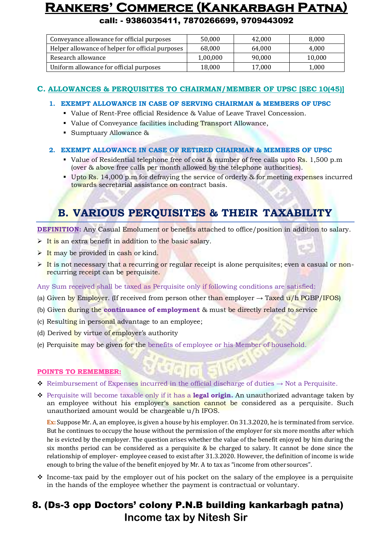call: - 9386035411, 7870266699, 9709443092

| Conveyance allowance for official purposes       | 50.000   | 42.000 | 8,000  |
|--------------------------------------------------|----------|--------|--------|
| Helper allowance of helper for official purposes | 68,000   | 64.000 | 4,000  |
| Research allowance                               | 1,00,000 | 90.000 | 10,000 |
| Uniform allowance for official purposes          | 18,000   | 17.000 | 1,000  |

#### **C. ALLOWANCES & PERQUISITES TO CHAIRMAN/MEMBER OF UPSC [SEC 10(45)]**

- **1. EXEMPT ALLOWANCE IN CASE OF SERVING CHAIRMAN & MEMBERS OF UPSC**
	- Value of Rent-Free official Residence & Value of Leave Travel Concession.
	- Value of Conveyance facilities including Transport Allowance,
	- Sumptuary Allowance &
- **2. EXEMPT ALLOWANCE IN CASE OF RETIRED CHAIRMAN & MEMBERS OF UPSC**
	- Value of Residential telephone free of cost & number of free calls upto Rs. 1,500 p.m (over & above free calls per month allowed by the telephone authorities).
	- Upto Rs. 14,000 p.m for defraying the service of orderly & for meeting expenses incurred towards secretarial assistance on contract basis.

## **B. VARIOUS PERQUISITES & THEIR TAXABILITY**

**DEFINITION:** Any Casual Emolument or benefits attached to office/position in addition to salary.

- $\triangleright$  It is an extra benefit in addition to the basic salary.
- $\triangleright$  It may be provided in cash or kind.
- $\triangleright$  It is not necessary that a recurring or regular receipt is alone perquisites; even a casual or nonrecurring receipt can be perquisite.

Any Sum received shall be taxed as Perquisite only if following conditions are satisfied:

- (a) Given by Employer. (If received from person other than employer  $\rightarrow$  Taxed u/h PGBP/IFOS)
- (b) Given during the **continuance of employment** & must be directly related to service
- (c) Resulting in personal advantage to an employee;
- (d) Derived by virtue of employer's authority
- (e) Perquisite may be given for the benefits of employee or his Member of household.

#### **POINTS TO REMEMBER:**

- Reimbursement of Expenses incurred in the official discharge of duties  $\rightarrow$  Not a Perquisite.
- Perquisite will become taxable only if it has a **legal origin.** An unauthorized advantage taken by an employee without his employer's sanction cannot be considered as a perquisite. Such unauthorized amount would be chargeable u/h IFOS.

**Ex:** Suppose Mr. A, an employee, is given a house by his employer. On 31.3.2020, he is terminated from service. But he continues to occupy the house without the permission of the employer for six more months after which he is evicted by the employer. The question arises whether the value of the benefit enjoyed by him during the six months period can be considered as a perquisite & be charged to salary. It cannot be done since the relationship of employer- employee ceased to exist after 31.3.2020. However, the definition of income is wide enough to bring the value of the benefit enjoyed by Mr. A to tax as "income from othersources".

 $\div$  Income-tax paid by the employer out of his pocket on the salary of the employee is a perquisite in the hands of the employee whether the payment is contractual or voluntary.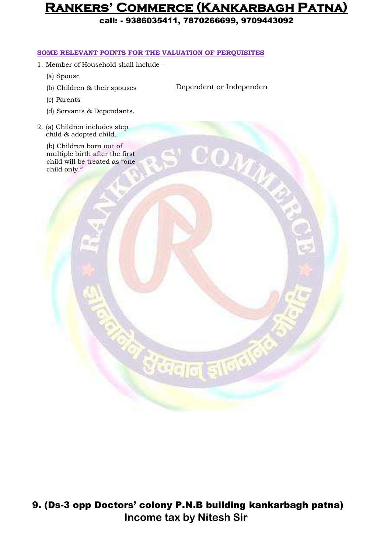call: - 9386035411, 7870266699, 9709443092

#### **SOME RELEVANT POINTS FOR THE VALUATION OF PERQUISITES**

- 1. Member of Household shall include
	- (a) Spouse
	- (b) Children & their spouses

Dependent or Independen

 $\alpha_{\mathcal{U}_d}$ 

- (c) Parents
- (d) Servants & Dependants.
- 2. (a) Children includes step child & adopted child.

(b) Children born out of multiple birth after the first child will be treated as "one child only."

9. (Ds-3 opp Doctors' colony P.N.B building kankarbagh patna) **Income tax by Nitesh Sir**

ॅुटेक्<sub>वान् ड</sub>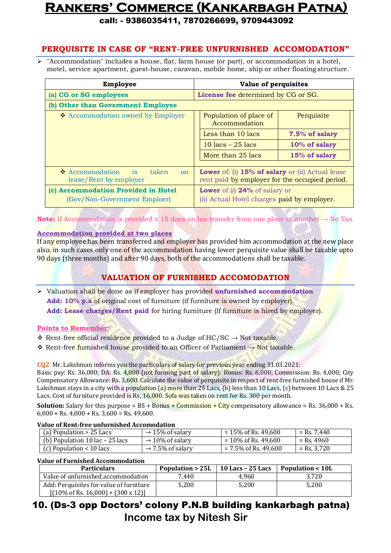call: - 9386035411, 7870266699, 9709443092

### **PERQUISITE IN CASE OF "RENT-FREE UNFURNISHED ACCOMODATION"**

 "Accommodation" includes a house, flat, farm house (or part), or accommodation in a hotel, motel, service apartment, guest-house, caravan, mobile home, ship or other floating structure.

| <b>Employee</b>                                                                     | Value of perquisites                                                                               |                |
|-------------------------------------------------------------------------------------|----------------------------------------------------------------------------------------------------|----------------|
| (a) CG or SG employees                                                              | License fee determined by CG or SG.                                                                |                |
| (b) Other than Government Employee                                                  |                                                                                                    |                |
| ❖ Accommodation owned by Employer                                                   | Population of place of<br>Accommodation                                                            | Perquisite     |
|                                                                                     | Less than 10 lacs                                                                                  | 7.5% of salary |
|                                                                                     | 10 $lacs - 25$ lacs                                                                                | 10% of salary  |
|                                                                                     | More than 25 lacs                                                                                  | 15% of salary  |
|                                                                                     |                                                                                                    |                |
| $\triangle$ Accommodation<br>is<br>taken<br><sub>on</sub><br>lease/Rent by employer | Lower of: (i) 15% of salary or (ii) Actual lease<br>rent paid by employer for the occupied period. |                |
| (c) Accommodation Provided in Hotel                                                 | <b>Lower</b> of (i) <b>24%</b> of salary or                                                        |                |
| (Gov/Non-Government Emploer)                                                        | (ii) Actual Hotel charges paid by employer.                                                        |                |

**Note:** If Accommodation is provided ≤ 15 days on his transfer from one place to another → No Tax.

#### **Accommodation provided at two places**

If any employee has been transferred and employer has provided him accommodation at the new place also, in such cases only one of the accommodation having lower perquisite value shall be taxable upto 90 days (three months) and after 90 days, both of the accommodations shall be taxable.

### **VALUATION OF FURNISHED ACCOMODATION**

 Valuation shall be done as if employer has provided **unfurnished accommodation Add: 10% p.a** of original cost of furniture (if furniture is owned by employer). **Add: Lease charges/Rent paid** for hiring furniture (If furniture is hired by employer).

#### **Points to Remember:**

- Rent-free official residence provided to a Judge of  $HC/SC \rightarrow Not$  taxable.
- Rent-free furnished house provided to an Officer of Parliament → Not taxable.

**CQ2.** Mr. Lakshman informs you the particulars of salary for previous year ending 31.03.2021:

Basic pay: Rs. 36,000; DA: Rs. 4,800 (not forming part of salary); Bonus: Rs. 6,000; Commission: Rs. 4,000; City Compensatory Allowance: Rs. 3,600. Calculate the value of perquisite in respect of rent-free furnished house if Mr. Lakshman stays in a city with a population (a) more than 25 Lacs, (b) less than 10 Lacs, (c) between 10 Lacs & 25 Lacs. Cost of furniture provided is Rs. 16,000. Sofa was taken on rent for Rs. 300 per month.

**Solution:** Salary for this purpose = BS + Bonus + Commission + City compensatory allowance = Rs. 36,000 + Rs.  $6,000 + \text{Rs. } 4,000 + \text{Rs. } 3,600 = \text{Rs. } 49,600.$ 

#### **Value of Rent-free unfurnished Accomodation**

| (a) Population > 25 Lacs                          | $\rightarrow$ 15% of salary  | $= 15\%$ of Rs. 49,600  | = Rs. 7,440   |
|---------------------------------------------------|------------------------------|-------------------------|---------------|
| (b) Population $10 \text{ lac} - 25 \text{ lacs}$ | $\rightarrow$ 10% of salary  | $= 10\%$ of Rs. 49,600  | = Rs. 4960    |
| (c) Population $< 10$ lacs                        | $\rightarrow$ 7.5% of salary | $= 7.5\%$ of Rs. 49,600 | $=$ Rs. 3,720 |

#### **Value of Furnished Accommodation**

| <b>Particulars</b>                                                                                 | Population $> 25L$   10 Lacs - 25 Lacs |       | Population < 10L |
|----------------------------------------------------------------------------------------------------|----------------------------------------|-------|------------------|
| Value of unfurnished accommodation                                                                 | 7.440                                  | 4.960 | 3.720            |
| Add: Perquisites for value of furniture<br>$[(10\% \text{ of Rs. } 16,000) + (300 \text{ x } 12)]$ | 5.200                                  | 5.200 | 5.200            |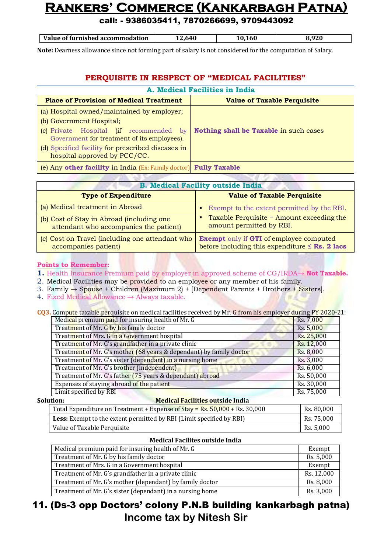### call: - 9386035411, 7870266699, 9709443092

| Value of furnished accommodation | .641 |  |
|----------------------------------|------|--|

**Note:** Dearness allowance since not forming part of salary is not considered for the computation of Salary.

#### **PERQUISITE IN RESPECT OF "MEDICAL FACILITIES"**

| A. Medical Facilities in India                                                         |                                        |  |
|----------------------------------------------------------------------------------------|----------------------------------------|--|
| <b>Place of Provision of Medical Treatment</b>                                         | <b>Value of Taxable Perquisite</b>     |  |
| (a) Hospital owned/maintained by employer;                                             |                                        |  |
| (b) Government Hospital;                                                               |                                        |  |
| (c) Private Hospital (if recommended by<br>Government for treatment of its employees). | Nothing shall be Taxable in such cases |  |
| (d) Specified facility for prescribed diseases in<br>hospital approved by PCC/CC.      |                                        |  |
| (e) Any other facility in India (Ex: Family doctor) Fully Taxable                      |                                        |  |

| <b>B. Medical Facility outside India</b>                                            |                                                                                                       |  |
|-------------------------------------------------------------------------------------|-------------------------------------------------------------------------------------------------------|--|
| <b>Type of Expenditure</b>                                                          | <b>Value of Taxable Perquisite</b>                                                                    |  |
| (a) Medical treatment in Abroad                                                     | Exempt to the extent permitted by the RBI.                                                            |  |
| (b) Cost of Stay in Abroad (including one<br>attendant who accompanies the patient) | Taxable Perquisite = Amount exceeding the<br>amount permitted by RBI.                                 |  |
| (c) Cost on Travel (including one attendant who<br>accompanies patient)             | <b>Exempt</b> only if GTI of employee computed<br>before including this expenditure $\leq$ Rs. 2 lacs |  |

#### **Points to Remember:**

**1.** Health Insurance Premium paid by employer in approved scheme of CG/IRDA→ **Not Taxable.**

- 2. Medical Facilities may be provided to an employee or any member of his family.
- 3. Family → Spouse + Children (Maximum 2) + [Dependent Parents + Brothers + Sisters].

4. Fixed Medical Allowance  $\rightarrow$  Always taxable.

**CQ3.** Compute taxable perquisite on medical facilities received by Mr. G from his employer during PY 2020-21:

| Medical premium paid for insuring health of Mr. G                   | Rs. 7,000  |
|---------------------------------------------------------------------|------------|
| Treatment of Mr. G by his family doctor                             | Rs. 5,000  |
| Treatment of Mrs. G in a Government hospital                        | Rs. 25,000 |
| Treatment of Mr. G's grandfather in a private clinic                | Rs. 12,000 |
| Treatment of Mr. G's mother (68 years & dependant) by family doctor | Rs. 8,000  |
| Treatment of Mr. G's sister (dependant) in a nursing home           | Rs. 3,000  |
| Treatment of Mr. G's brother (independent)                          | Rs. 6,000  |
| Treatment of Mr. G's father (75 years & dependant) abroad           | Rs. 50,000 |
| Expenses of staying abroad of the patient                           | Rs. 30,000 |
| Limit specified by RBI                                              | Rs. 75,000 |

| Solution:<br><b>Medical Facilities outside India</b>                                         |            |
|----------------------------------------------------------------------------------------------|------------|
| Total Expenditure on Treatment + Expense of Stay = $\text{Rs. } 50,000 + \text{Rs. } 30,000$ | Rs. 80.000 |
| <b>Less:</b> Exempt to the extent permitted by RBI (Limit specified by RBI)                  | Rs. 75,000 |
| Value of Taxable Perquisite                                                                  | Rs. 5,000  |

#### **Medical Facilites outside India**

| Medical premium paid for insuring health of Mr. G         | Exempt     |
|-----------------------------------------------------------|------------|
| Treatment of Mr. G by his family doctor                   | Rs. 5,000  |
| Treatment of Mrs. G in a Government hospital              | Exempt     |
| Treatment of Mr. G's grandfather in a private clinic      | Rs. 12,000 |
| Treatment of Mr. G's mother (dependant) by family doctor  | Rs. 8,000  |
| Treatment of Mr. G's sister (dependant) in a nursing home | Rs. 3,000  |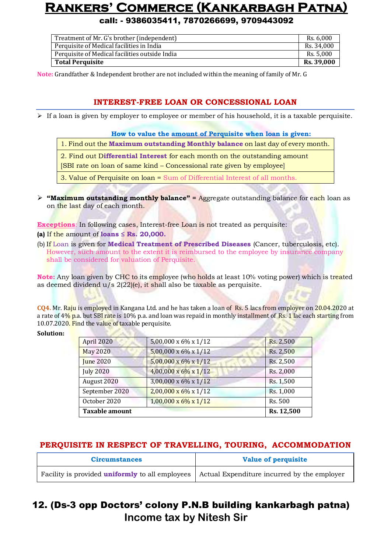call: - 9386035411, 7870266699, 9709443092

| Treatment of Mr. G's brother (independent)     | Rs. 6.000         |
|------------------------------------------------|-------------------|
| Perquisite of Medical facilities in India      | Rs. 34.000        |
| Perquisite of Medical facilities outside India | Rs. 5.000         |
| <b>Total Perquisite</b>                        | <b>Rs. 39,000</b> |

**Note:** Grandfather & Independent brother are not included within the meaning of family of Mr. G

### **INTEREST-FREE LOAN OR CONCESSIONAL LOAN**

 $\triangleright$  If a loan is given by employer to employee or member of his household, it is a taxable perquisite.

#### **How to value the amount of Perquisite when loan is given:**

- 1. Find out the **Maximum outstanding Monthly balance** on last day of every month.
- 2. Find out D**ifferential Interest** for each month on the outstanding amount
- [SBI rate on loan of same kind Concessional rate given by employee]
- 3. Value of Perquisite on loan = Sum of Differential Interest of all months.
- **"Maximum outstanding monthly balance" =** Aggregate outstanding balance for each loan as on the last day of each month.

**Exceptions**: In following cases, Interest-free Loan is not treated as perquisite:

- **(a)** If the amount of **loans ≤ Rs. 20,000.**
- (b) If Loan is given for **Medical Treatment of Prescribed Diseases** (Cancer, tuberculosis, etc). However, such amount to the extent it is reimbursed to the employee by insurance company shall be considered for valuation of Perquisite.

**Note:** Any loan given by CHC to its employee (who holds at least 10% voting power) which is treated as deemed dividend  $u/s$  2(22)(e), it shall also be taxable as perquisite.

**CQ4.** Mr. Raju is employed in Kangana Ltd. and he has taken a loan of Rs. 5 lacs from employer on 20.04.2020 at a rate of 4% p.a. but SBI rate is 10% p.a. and loan was repaid in monthly installment of Rs. 1 lac each starting from 10.07.2020. Find the value of taxable perquisite.

#### **Solution:**

| April 2020       | 5,00,000 x 6% x 1/12              | Rs. 2,500  |
|------------------|-----------------------------------|------------|
| <b>May 2020</b>  | $5,00,000 \times 6\% \times 1/12$ | Rs. 2,500  |
| <b>June 2020</b> | $5,00,000 \times 6\% \times 1/12$ | Rs. 2,500  |
| <b>July 2020</b> | $4,00,000 \times 6\% \times 1/12$ | Rs. 2,000  |
| August 2020      | $3,00,000 \times 6\% \times 1/12$ | Rs. 1,500  |
| September 2020   | $2,00,000 \times 6\% \times 1/12$ | Rs. 1,000  |
| October 2020     | $1,00,000 \times 6\% \times 1/12$ | Rs. 500    |
| Taxable amount   |                                   | Rs. 12,500 |

### **PERQUISITE IN RESPECT OF TRAVELLING, TOURING, ACCOMMODATION**

| <b>Circumstances</b>                                                                                 | <b>Value of perquisite</b> |  |
|------------------------------------------------------------------------------------------------------|----------------------------|--|
| Facility is provided <b>uniformly</b> to all employees   Actual Expenditure incurred by the employer |                            |  |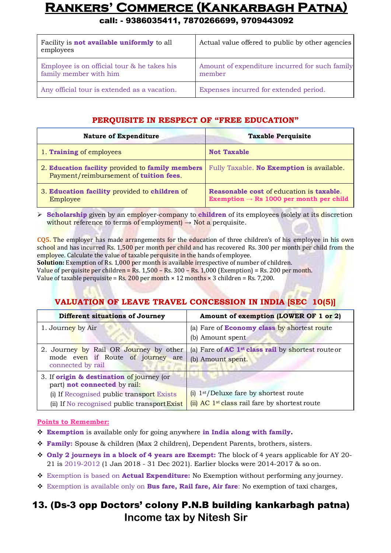call: - 9386035411, 7870266699, 9709443092

| Facility is <b>not available uniformly</b> to all<br>employees        | Actual value offered to public by other agencies         |
|-----------------------------------------------------------------------|----------------------------------------------------------|
| Employee is on official tour & he takes his<br>family member with him | Amount of expenditure incurred for such family<br>member |
| Any official tour is extended as a vacation.                          | Expenses incurred for extended period.                   |

#### **PERQUISITE IN RESPECT OF "FREE EDUCATION"**

| <b>Nature of Expenditure</b>                                                               | <b>Taxable Perquisite</b>                                                                              |  |
|--------------------------------------------------------------------------------------------|--------------------------------------------------------------------------------------------------------|--|
| 1. Training of employees                                                                   | <b>Not Taxable</b>                                                                                     |  |
| 2. Education facility provided to family members<br>Payment/reimbursement of tuition fees. | Fully Taxable. No Exemption is available.                                                              |  |
| 3. Education facility provided to children of<br>Employee                                  | <b>Reasonable cost of education is taxable.</b><br>Exemption $\rightarrow$ Rs 1000 per month per child |  |

**Scholarship** given by an employer-company to **children** of its employees (solely at its discretion without reference to terms of employment)  $\rightarrow$  Not a perquisite.

**CQ5.** The employer has made arrangements for the education of three children's of his employee in his own school and has incurred Rs. 1,500 per month per child and has recovered Rs. 300 per month per child from the employee. Calculate the value of taxable perquisite in the hands of employee.

**Solution:** Exemption of Rs. 1,000 per month is available irrespective of number of children. Value of perquisite per children = Rs.  $1,500 -$  Rs.  $300 -$  Rs.  $1,000$  (Exemption) = Rs. 200 per month. Value of taxable perquisite = Rs. 200 per month  $\times$  12 months  $\times$  3 children = Rs. 7,200.

### **VALUATION OF LEAVE TRAVEL CONCESSION IN INDIA [SEC 10(5)]**

| Different situations of Journey                                                                  | Amount of exemption (LOWER OF 1 or 2)                                                                             |  |  |
|--------------------------------------------------------------------------------------------------|-------------------------------------------------------------------------------------------------------------------|--|--|
| 1. Journey by Air                                                                                | (a) Fare of <b>Economy class</b> by shortest route<br>(b) Amount spent                                            |  |  |
| 2. Journey by Rail OR Journey by other<br>mode even if Route of journey are<br>connected by rail | (a) Fare of $AC$ 1 <sup>st</sup> class rail by shortest route or<br>(b) Amount spent.                             |  |  |
| 3. If <b>origin &amp; destination</b> of journey (or<br>part) not connected by rail:             |                                                                                                                   |  |  |
| (i) If Recognised public transport Exists<br>(ii) If No recognised public transport Exist        | $(i)$ 1 <sup>st</sup> /Deluxe fare by shortest route<br>(ii) AC 1 <sup>st</sup> class rail fare by shortest route |  |  |

#### **Points to Remember:**

- **Exemption** is available only for going anywhere **in India along with family.**
- **Family:** Spouse & children (Max 2 children), Dependent Parents, brothers, sisters.
- **Only 2 journeys in a block of 4 years are Exempt:** The block of 4 years applicable for AY 20- 21 is 2019-2012 (1 Jan 2018 - 31 Dec 2021). Earlier blocks were 2014-2017 & so on.
- Exemption is based on **Actual Expenditure:** No Exemption without performing any journey.
- Exemption is available only on **Bus fare, Rail fare, Air fare**: No exemption of taxi charges,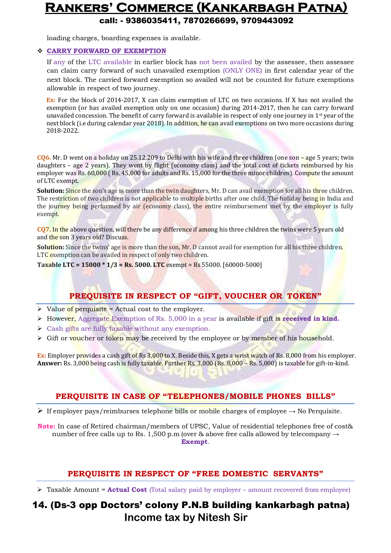call: - 9386035411, 7870266699, 9709443092

loading charges, boarding expenses is available.

#### **CARRY FORWARD OF EXEMPTION**

If any of the LTC available in earlier block has not been availed by the assessee, then assessee can claim carry forward of such unavailed exemption (ONLY ONE) in first calendar year of the next block. The carried forward exemption so availed will not be counted for future exemptions allowable in respect of two journey.

**Ex:** For the block of 2014-2017, X can claim exemption of LTC on two occasions. If X has not availed the exemption (or has availed exemption only on one occasion) during 2014-2017, then he can carry forward unavailed concession. The benefit of carry forward is available in respect of only one journey in 1<sup>st</sup> year of the next block (i.e during calendar year 2018). In addition, he can avail exemptions on two more occasions during 2018-2022.

**CQ6.** Mr. D went on a holiday on 25.12.209 to Delhi with his wife and three children (one son – age 5 years; twin daughters – age 2 years). They went by flight (economy class) and the total cost of tickets reimbursed by his employer was Rs. 60,000 (Rs. 45,000 for adults and Rs. 15,000 for the three minor children). Compute the amount of LTC exempt.

**Solution:** Since the son's age is more than the twin daughters, Mr. D can avail exemption for all his three children. The restriction of two children is not applicable to multiple births after one child. The holiday being in India and the journey being performed by air (economy class), the entire reimbursement met by the employer is fully exempt.

**CQ7.** In the above question, will there be any difference if among his three children the twins were 5 years old and the son 3 years old? Discuss.

**Solution:** Since the twins' age is more than the son, Mr. D cannot avail for exemption for all his three children. LTC exemption can be availed in respect of only two children.

**Taxable LTC = 15000 \* 1/3 = Rs. 5000. LTC** exempt = Rs 55000. [60000-5000]

### **PREQUISITE IN RESPECT OF "GIFT, VOUCHER OR TOKEN"**

- $\triangleright$  Value of perquisite = Actual cost to the employer.
- $\triangleright$  However, Aggregate Exemption of Rs. 5,000 in a year is available if gift is **received in kind.**
- Cash gifts are fully taxable without any exemption.
- $\triangleright$  Gift or voucher or token may be received by the employee or by member of his household.

**Ex:** Employer provides a cash gift of Rs 3,000 to X. Beside this, X gets a wrist watch of Rs. 8,000 from his employer. **Answer:** Rs. 3,000 being cash is fully taxable. Further Rs. 3,000 (Rs. 8,000 – Rs. 5,000) is taxable for gift-in-kind.

#### **PERQUISITE IN CASE OF "TELEPHONES/MOBILE PHONES BILLS"**

 $▶$  If employer pays/reimburses telephone bills or mobile charges of employee  $→$  No Perquisite.

**Note:** In case of Retired chairman/members of UPSC, Value of residential telephones free of cost& number of free calls up to Rs. 1,500 p.m (over & above free calls allowed by telecompany  $\rightarrow$ **Exempt**.

#### **PERQUISITE IN RESPECT OF "FREE DOMESTIC SERVANTS"**

Taxable Amount = **Actual Cost** (Total salary paid by employer – amount recovered from employee)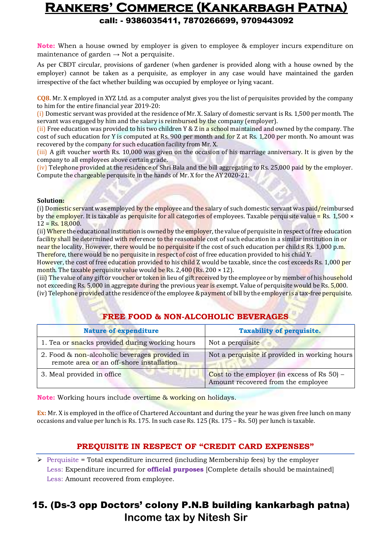**Note:** When a house owned by employer is given to employee & employer incurs expenditure on maintenance of garden  $\rightarrow$  Not a perquisite.

As per CBDT circular, provisions of gardener (when gardener is provided along with a house owned by the employer) cannot be taken as a perquisite, as employer in any case would have maintained the garden irrespective of the fact whether building was occupied by employee or lying vacant.

**CQ8.** Mr. X employed in XYZ Ltd. as a computer analyst gives you the list of perquisites provided by the company to him for the entire financial year 2019-20:

(i) Domestic servant was provided at the residence of Mr. X. Salary of domestic servant is Rs. 1,500 per month. The servant was engaged by him and the salary is reimbursed by the company (employer).

(ii) Free education was provided to his two children  $Y \& Z$  in a school maintained and owned by the company. The cost of such education for Y is computed at Rs. 900 per month and for Z at Rs. 1,200 per month. No amount was recovered by the company for such education facility from Mr. X.

(iii) A gift voucher worth Rs. 10,000 was given on the occasion of his marriage anniversary. It is given by the company to all employees above certain grade.

(iv) Telephone provided at the residence of Shri Bala and the bill aggregating to Rs. 25,000 paid by the employer. Compute the chargeable perquisite in the hands of Mr. X for the AY2020-21.

#### **Solution:**

(i) Domestic servant was employed by the employee and the salary of such domestic servant was paid/reimbursed by the employer. It is taxable as perquisite for all categories of employees. Taxable perquisite value = Rs. 1,500  $\times$  $12 = Rs. 18,000.$ 

(ii) Where the educational institution is owned by the employer, the value of perquisite in respect of free education facility shall be determined with reference to the reasonable cost of such education in a similar institution in or near the locality. However, there would be no perquisite if the cost of such education per child  $\leq$  Rs. 1,000 p.m. Therefore, there would be no perquisite in respect of cost of free education provided to his child Y.

However, the cost of free education provided to his child Z would be taxable, since the cost exceeds Rs. 1,000 per month. The taxable perquisite value would be Rs. 2,400 (Rs. 200  $\times$  12).

(iii) The value of any gift or voucher or token in lieu of gift received by the employee or by member of his household not exceeding Rs. 5,000 in aggregate during the previous year is exempt. Value of perquisite would be Rs. 5,000.

(iv) Telephone provided at the residence of the employee & payment of bill by the employer is a tax-free perquisite.

### **FREE FOOD & NON-ALCOHOLIC BEVERAGES**

| <b>Nature of expenditure</b>                                                              | <b>Taxability of perquisite.</b>                                                     |  |
|-------------------------------------------------------------------------------------------|--------------------------------------------------------------------------------------|--|
| 1. Tea or snacks provided during working hours                                            | Not a perquisite                                                                     |  |
| 2. Food & non-alcoholic beverages provided in<br>remote area or an off-shore installation | Not a perquisite if provided in working hours                                        |  |
| 3. Meal provided in office                                                                | Cost to the employer (in excess of Rs $50$ ) –<br>Amount recovered from the employee |  |

**Note:** Working hours include overtime & working on holidays.

**Ex:** Mr. X is employed in the office of Chartered Accountant and during the year he was given free lunch on many occasions and value per lunch is Rs. 175. In such case Rs. 125 (Rs. 175 – Rs. 50) per lunch is taxable.

### **PREQUISITE IN RESPECT OF "CREDIT CARD EXPENSES"**

 $\triangleright$  Perquisite = Total expenditure incurred (including Membership fees) by the employer Less: Expenditure incurred for **official purposes** [Complete details should be maintained] Less: Amount recovered from employee.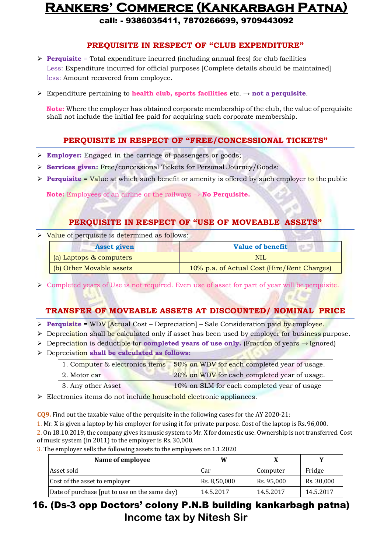call: - 9386035411, 7870266699, 9709443092

### **PREQUISITE IN RESPECT OF "CLUB EXPENDITURE"**

- **Perquisite** = Total expenditure incurred (including annual fees) for club facilities Less: Expenditure incurred for official purposes [Complete details should be maintained] less: Amount recovered from employee.
- $\triangleright$  Expenditure pertaining to **health club, sports facilities** etc.  $\rightarrow$  **not a perquisite.**

**Note:** Where the employer has obtained corporate membership of the club, the value of perquisite shall not include the initial fee paid for acquiring such corporate membership.

### **PERQUISITE IN RESPECT OF "FREE/CONCESSIONAL TICKETS"**

- **Employer:** Engaged in the carriage of passengers or goods;
- **Services given:** Free/concessional Tickets for Personal Journey/Goods;
- **Perquisite = Value at which such benefit or amenity is offered by such employer to the public**

**Note:** Employees of an airline or the railways → **No Perquisite.**

### **PERQUISITE IN RESPECT OF "USE OF MOVEABLE ASSETS"**

 $\triangleright$  Value of perquisite is determined as follows:

| <b>Asset given</b>       | <b>Value of benefit</b>                     |  |  |
|--------------------------|---------------------------------------------|--|--|
| (a) Laptops & computers  | NIL                                         |  |  |
| (b) Other Movable assets | 10% p.a. of Actual Cost (Hire/Rent Charges) |  |  |

Completed years of Use is not required. Even use of asset for part of year will be perquisite.

### **TRANSFER OF MOVEABLE ASSETS AT DISCOUNTED/ NOMINAL PRICE**

- **Perquisite = WDV [Actual Cost Depreciation] Sale Consideration paid by employee.**
- $\triangleright$  Depreciation shall be calculated only if asset has been used by employer for business purpose.
- Depreciation is deductible for **completed years of use only.** (Fraction of years → Ignored)
- Depreciation **shall be calculated as follows:**

|                    | 1. Computer & electronics items 50% on WDV for each completed year of usage. |
|--------------------|------------------------------------------------------------------------------|
| 2. Motor car       | 20% on WDV for each completed year of usage.                                 |
| 3. Any other Asset | 10% on SLM for each completed year of usage                                  |

Electronics items do not include household electronic appliances.

**CQ9.** Find out the taxable value of the perquisite in the following cases for the AY 2020-21:

1. Mr. X is given a laptop by his employer for using it for private purpose. Cost of the laptop is Rs.96,000.

2. On 18.10.2019, the company gives its music system to Mr. X for domestic use. Ownership is nottransferred. Cost of music system (in 2011) to the employer is Rs. 30,000.

3. The employer sells the following assets to the employees on 1.1.2020

| Name of employee                              | W            |            |            |
|-----------------------------------------------|--------------|------------|------------|
| Asset sold                                    | Car          | Computer   | Fridge     |
| Cost of the asset to employer                 | Rs. 8,50,000 | Rs. 95,000 | Rs. 30,000 |
| Date of purchase [put to use on the same day] | 14.5.2017    | 14.5.2017  | 14.5.2017  |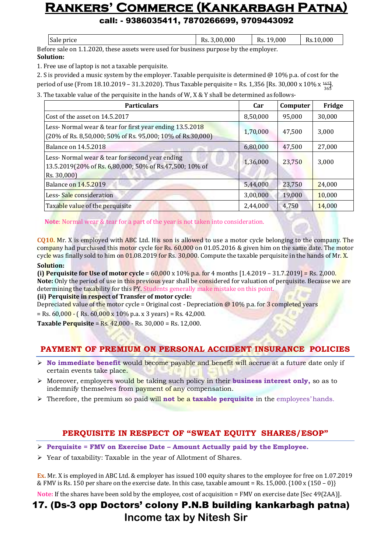call: - 9386035411, 7870266699, 9709443092

| Sale price                                                                         | Rs. 3,00,000 | Rs. 19,000 | Rs.10.000 |  |
|------------------------------------------------------------------------------------|--------------|------------|-----------|--|
| fore sale on 1 1 2020, these assets were used for business nurnose by the employer |              |            |           |  |

Before sale on 1.1.2020, these assets were used for business purpose by the employer. **Solution:**

1. Free use of laptop is not a taxable perquisite.

2. S is provided a music system by the employer. Taxable perquisite is determined @ 10% p.a. of cost for the period of use (From  $18.10.2019 - 31.3.2020$ ). Thus Taxable perquisite = Rs. 1,356 [Rs. 30,000 x 10%  $x\frac{1651}{365}$ ]

3. The taxable value of the perquisite in the hands of W, X & Y shall be determined as follows-

| <b>Particulars</b>                                                                                                                                     | Car      | Computer | Fridge |
|--------------------------------------------------------------------------------------------------------------------------------------------------------|----------|----------|--------|
| Cost of the asset on 14.5.2017                                                                                                                         | 8,50,000 | 95,000   | 30,000 |
| Less-Normal wear & tear for first year ending 13.5.2018<br>$(20\% \text{ of Rs. } 8,50,000; 50\% \text{ of Rs. } 95,000; 10\% \text{ of Rs. } 30,000)$ | 1,70,000 | 47,500   | 3,000  |
| Balance on 14.5.2018                                                                                                                                   | 6,80,000 | 47,500   | 27,000 |
| Less- Normal wear & tear for second year ending<br>13.5.2019(20% of Rs. 6,80,000; 50% of Rs.47,500; 10% of<br>Rs. 30,000)                              | 1,36,000 | 23,750   | 3,000  |
| Balance on 14.5.2019                                                                                                                                   | 5,44,000 | 23,750   | 24,000 |
| Less-Sale consideration                                                                                                                                | 3,00,000 | 19,000   | 10,000 |
| Taxable value of the perquisite                                                                                                                        | 2,44,000 | 4,750    | 14,000 |

**Note**: Normal wear & tear for a part of the year is not taken into consideration.

**CQ10.** Mr. X is employed with ABC Ltd. His son is allowed to use a motor cycle belonging to the company. The company had purchased this motor cycle for Rs. 60,000 on 01.05.2016 & given him on the same date. The motor cycle was finally sold to him on 01.08.2019 for Rs. 30,000. Compute the taxable perquisite in the hands of Mr.  $\overline{X}$ .

#### **Solution:**

**(i) Perquisite for Use of motor cycle** = 60,000 x 10% p.a. for 4 months [1.4.2019 – 31.7.2019] = Rs. 2,000. **Note:** Only the period of use in this previous year shall be considered for valuation of perquisite. Because we are determining the taxability for this PY. Students generally make mistake on this point. **(ii) Perquisite in respect of Transfer of motor cycle:**

Depreciated value of the motor cycle = Original cost - Depreciation  $@10\%$  p.a. for 3 completed years

 $=$  Rs. 60,000  $\cdot$  (Rs. 60,000 x 10% p.a. x 3 years) = Rs. 42,000.

**Taxable Perquisite** = Rs. 42,000 - Rs. 30,000 = Rs. 12,000.

### **PAYMENT OF PREMIUM ON PERSONAL ACCIDENT INSURANCE POLICIES**

- **No immediate benefit** would become payable and benefit will accrue at a future date only if certain events take place.
- Moreover, employers would be taking such policy in their **business interest only,** so as to indemnify themselves from payment of any compensation.
- Therefore, the premium so paid will **not** be a **taxable perquisite** in the employees' hands*.*

### **PERQUISITE IN RESPECT OF "SWEAT EQUITY SHARES/ESOP"**

- **Perquisite = FMV on Exercise Date – Amount Actually paid by the Employee.**
- Year of taxability: Taxable in the year of Allotment of Shares.

**Ex.** Mr. X is employed in ABC Ltd. & employer has issued 100 equity shares to the employee for free on 1.07.2019 & FMV is Rs. 150 per share on the exercise date. In this case, taxable amount = Rs. 15,000.  $\{100 \times (150 - 0)\}$ 

**Note:** If the shares have been sold by the employee, cost of acquisition = FMV on exercise date [Sec 49(2AA)].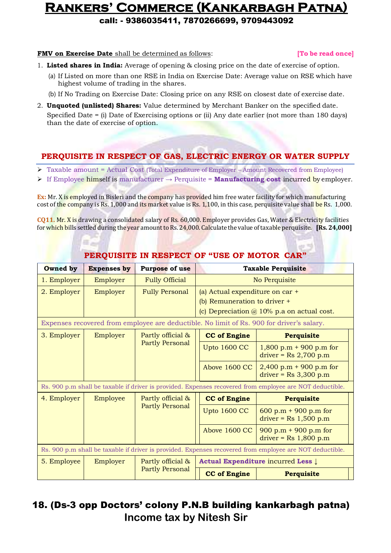call: - 9386035411, 7870266699, 9709443092

**FMV on Exercise Date** shall be determined as follows: **[To be read once]**

- 1. **Listed shares in India:** Average of opening & closing price on the date of exercise of option.
	- (a) If Listed on more than one RSE in India on Exercise Date: Average value on RSE which have highest volume of trading in the shares.
	- (b) If No Trading on Exercise Date: Closing price on any RSE on closest date of exercise date.
- 2. **Unquoted (unlisted) Shares:** Value determined by Merchant Banker on the specified date. Specified Date = (i) Date of Exercising options or (ii) Any date earlier (not more than 180 days) than the date of exercise of option.

### **PERQUISITE IN RESPECT OF GAS, ELECTRIC ENERGY OR WATER SUPPLY**

- Taxable amount = Actual Cost (Total Expenditure of Employer Amount Recovered from Employee)
- If Employee himself is manufacturer → Perquisite = **Manufacturing cost** incurred by employer.

**Ex:** Mr. X is employed in Bisleri and the company has provided him free water facility for which manufacturing cost of the company is Rs. 1,000 and its market value is Rs. 1,100, in this case, perquisite value shall be Rs. 1,000.

**CQ11.** Mr. X is drawing a consolidated salary of Rs. 60,000. Employer provides Gas, Water & Electricity facilities forwhich bills settled during the year amountto Rs. 24,000. Calculate the value oftaxableperquisite. **[Rs. 24,000]**

| PERQUISITE IN RESPECT OF "USE OF MOTOR CAR"                                                              |                                                                                |                        |                                 |                                                                                                          |  |
|----------------------------------------------------------------------------------------------------------|--------------------------------------------------------------------------------|------------------------|---------------------------------|----------------------------------------------------------------------------------------------------------|--|
| <b>Owned</b> by                                                                                          | <b>Expenses by</b>                                                             | <b>Purpose of use</b>  | <b>Taxable Perquisite</b>       |                                                                                                          |  |
| 1. Employer                                                                                              | Employer                                                                       | <b>Fully Official</b>  | No Perquisite                   |                                                                                                          |  |
| 2. Employer                                                                                              | Employer                                                                       | <b>Fully Personal</b>  | (a) Actual expenditure on car + |                                                                                                          |  |
|                                                                                                          |                                                                                |                        | (b) Remuneration to driver +    |                                                                                                          |  |
|                                                                                                          |                                                                                |                        |                                 | (c) Depreciation @ 10% p.a on actual cost.                                                               |  |
|                                                                                                          |                                                                                |                        |                                 | Expenses recovered from employee are deductible. No limit of Rs. 900 for driver's salary.                |  |
| 3. Employer                                                                                              | Employer                                                                       | Partly official &      | <b>CC</b> of Engine             | Perquisite                                                                                               |  |
|                                                                                                          |                                                                                | <b>Partly Personal</b> | <b>Upto 1600 CC</b>             | $1,800$ p.m + 900 p.m for<br>$\text{driver} = \text{Rs } 2,700 \text{ p.m.}$                             |  |
|                                                                                                          |                                                                                |                        | Above 1600 CC                   | 2,400 p.m + 900 p.m for<br>$\text{driver} = \text{Rs } 3,300 \text{ p.m.}$                               |  |
|                                                                                                          |                                                                                |                        |                                 | Rs. 900 p.m shall be taxable if driver is provided. Expenses recovered from employee are NOT deductible. |  |
| 4. Employer                                                                                              | Employee                                                                       | Partly official &      | <b>CC</b> of Engine             | Perquisite                                                                                               |  |
|                                                                                                          |                                                                                | <b>Partly Personal</b> | <b>Upto 1600 CC</b>             | 600 p.m + 900 p.m for<br>$\text{driver} = \text{Rs } 1,500 \text{ p.m.}$                                 |  |
|                                                                                                          |                                                                                |                        | Above 1600 CC                   | 900 p.m $+$ 900 p.m for<br>$\text{driver} = \text{Rs } 1,800 \text{ p.m.}$                               |  |
| Rs. 900 p.m shall be taxable if driver is provided. Expenses recovered from employee are NOT deductible. |                                                                                |                        |                                 |                                                                                                          |  |
| 5. Employee                                                                                              | Actual Expenditure incurred Less $\downarrow$<br>Employer<br>Partly official & |                        |                                 |                                                                                                          |  |
|                                                                                                          |                                                                                | <b>Partly Personal</b> | <b>CC</b> of Engine             | <b>Perquisite</b>                                                                                        |  |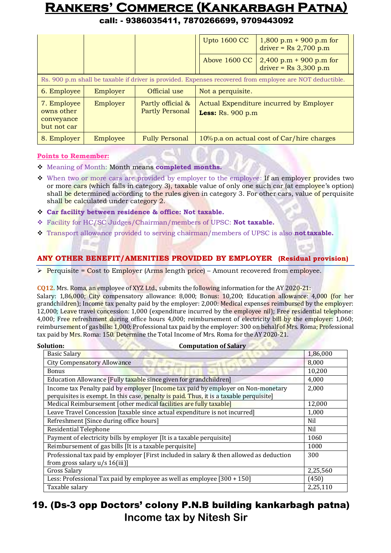call: - 9386035411, 7870266699, 9709443092

|                                                                                                          |          |                                             | <b>Upto 1600 CC</b><br>$1,800$ p.m + 900 p.m for<br>$\text{driver} = \text{Rs } 2,700 \text{ p.m.}$ |  |  |
|----------------------------------------------------------------------------------------------------------|----------|---------------------------------------------|-----------------------------------------------------------------------------------------------------|--|--|
|                                                                                                          |          |                                             | Above 1600 CC<br>$2,400$ p.m + 900 p.m for<br>$\text{driver} = \text{Rs } 3,300 \text{ p.m.}$       |  |  |
| Rs. 900 p.m shall be taxable if driver is provided. Expenses recovered from employee are NOT deductible. |          |                                             |                                                                                                     |  |  |
| 6. Employee                                                                                              | Employer | Official use                                | Not a perquisite.                                                                                   |  |  |
| 7. Employee<br>owns other<br>conveyance<br>but not car                                                   | Employer | Partly official &<br><b>Partly Personal</b> | Actual Expenditure incurred by Employer<br>Less: $Rs. 900 p.m$                                      |  |  |
| 8. Employer                                                                                              | Employee | <b>Fully Personal</b>                       | 10% p.a on actual cost of Car/hire charges                                                          |  |  |

#### **Points to Remember:**

- Meaning of Month: Month means **completed months.**
- \* When two or more cars are provided by employer to the employee: If an employer provides two or more cars (which falls in category 3), taxable value of only one such car (at employee's option) shall be determined according to the rules given in category 3. For other cars, value of perquisite shall be calculated under category 2.
- **Car facility between residence & office: Not taxable.**
- Facility for HC/SC Judges/Chairman/members of UPSC: **Not taxable.**
- Transport allowance provided to serving chairman/members of UPSC is also **not taxable.**

#### **ANY OTHER BENEFIT/AMENITIES PROVIDED BY EMPLOYER (Residual provision)**

 $\triangleright$  Perquisite = Cost to Employer (Arms length price) – Amount recovered from employee.

**CQ12.** Mrs. Roma, an employee of XYZ Ltd., submits the following information for the AY 2020-21:

Salary: 1,86,000; City compensatory allowance: 8,000; Bonus: 10,200; Education allowance: 4,000 (for her grandchildren); Income tax penalty paid by the employer: 2,000: Medical expenses reimbursed by the employer: 12,000; Leave travel concession: 1,000 (expenditure incurred by the employee nil); Free residential telephone: 4,000; Free refreshment during office hours 4,000; reimbursement of electricity bill by the employer: 1,060; reimbursement of gas bills: 1,000; Professional tax paid by the employer: 300 on behalf of Mrs. Roma; Professional tax paid by Mrs. Roma: 150. Determine the Total Income of Mrs. Roma for the AY2020-21.

| <b>Solution:</b><br><b>Computation of Salary</b>                                                                           |          |
|----------------------------------------------------------------------------------------------------------------------------|----------|
| <b>Basic Salary</b>                                                                                                        | 1,86,000 |
| <b>City Compensatory Allowance</b>                                                                                         | 8,000    |
| <b>Bonus</b>                                                                                                               | 10,200   |
| Education Allowance [Fully taxable since given for grandchildren]                                                          | 4,000    |
| Income tax Penalty paid by employer [Income tax paid by employer on Non-monetary                                           | 2,000    |
| perquisites is exempt. In this case, penalty is paid. Thus, it is a taxable perquisite                                     |          |
| Medical Reimbursement [other medical facilities are fully taxable]                                                         | 12,000   |
| Leave Travel Concession [taxable since actual expenditure is not incurred]                                                 | 1,000    |
| Refreshment [Since during office hours]                                                                                    | Nil      |
| <b>Residential Telephone</b>                                                                                               | Nil      |
| Payment of electricity bills by employer [It is a taxable perquisite]                                                      | 1060     |
| Reimbursement of gas bills [It is a taxable perquisite]                                                                    | 1000     |
| Professional tax paid by employer [First included in salary & then allowed as deduction<br>from gross salary $u/s 16(iii)$ | 300      |
| <b>Gross Salary</b>                                                                                                        | 2,25,560 |
| Less: Professional Tax paid by employee as well as employee [300 + 150]                                                    | (450)    |
| Taxable salary                                                                                                             | 2,25,110 |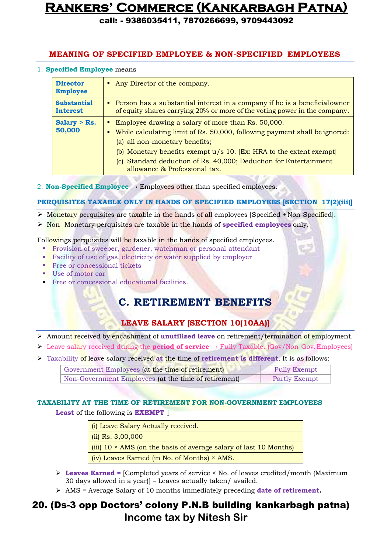call: - 9386035411, 7870266699, 9709443092

#### **MEANING OF SPECIFIED EMPLOYEE & NON-SPECIFIED EMPLOYEES**

#### 1. **Specified Employee** means

| <b>Director</b><br><b>Employee</b>    | • Any Director of the company.                                                                                                                                                                                                                                                                                                                      |
|---------------------------------------|-----------------------------------------------------------------------------------------------------------------------------------------------------------------------------------------------------------------------------------------------------------------------------------------------------------------------------------------------------|
| <b>Substantial</b><br><b>Interest</b> | • Person has a substantial interest in a company if he is a beneficial owner<br>of equity shares carrying 20% or more of the voting power in the company.                                                                                                                                                                                           |
| Salary $>$ Rs.<br>50,000              | • Employee drawing a salary of more than Rs. 50,000.<br>While calculating limit of Rs. 50,000, following payment shall be ignored:<br>(a) all non-monetary benefits;<br>(b) Monetary benefits exempt $u/s$ 10. [Ex: HRA to the extent exempt]<br>(c) Standard deduction of Rs. 40,000; Deduction for Entertainment<br>allowance & Professional tax. |

2. **Non-Specified Employee**  $\rightarrow$  Employees other than specified employees.

#### **PERQUISITES TAXABLE ONLY IN HANDS OF SPECIFIED EMPLOYEES [SECTION 17(2)(iii)]**

- $\triangleright$  Monetary perquisites are taxable in the hands of all employees [Specified + Non-Specified].
- Non- Monetary perquisites are taxable in the hands of **specified employees** only.

Followings perquisites will be taxable in the hands of specified employees.

- Provision of sweeper, gardener, watchman or personal attendant
- Facility of use of gas, electricity or water supplied by employer
- **Free or concessional tickets**
- Use of motor car
- Free or concessional educational facilities.

### **C. RETIREMENT BENEFITS**

### **LEAVE SALARY [SECTION 10(10AA)]**

- Amount received by encashment of **unutilized leave** on retirement/termination of employment.
- Leave salary received during the **period of service** → Fully Taxable. (Gov/Non-Gov.Employees)
- Taxability of leave salary received **at** the time of **retirement is different**. It is as follows:

| Government Employees (at the time of retirement)     | <b>Fully Exempt</b>  |
|------------------------------------------------------|----------------------|
| Non-Government Employees (at the time of retirement) | <b>Partly Exempt</b> |

#### **TAXABILITY AT THE TIME OF RETIREMENT FOR NON-GOVERNMENT EMPLOYEES**

**Least** of the following is **EXEMPT** ↓

| (i) Leave Salary Actually received.                                             |
|---------------------------------------------------------------------------------|
| $\frac{1}{1}$ (ii) Rs. 3,00,000                                                 |
| $\frac{1}{2}$ (iii) 10 × AMS (on the basis of average salary of last 10 Months) |
| $\int$ (iv) Leaves Earned (in No. of Months) $\times$ AMS.                      |

- $\triangleright$  **Leaves Earned** = [Completed years of service  $\times$  No. of leaves credited/month (Maximum 30 days allowed in a year)] – Leaves actually taken/ availed.
- $\triangleright$  AMS = Average Salary of 10 months immediately preceding **date of retirement.**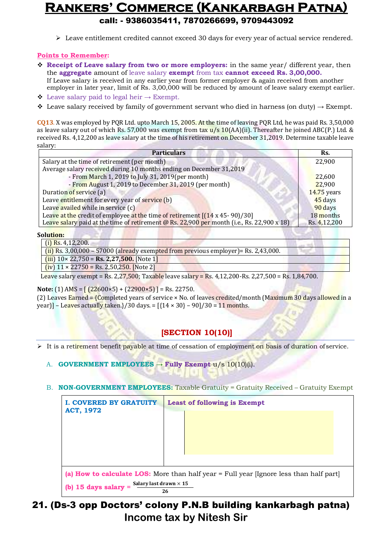$\triangleright$  Leave entitlement credited cannot exceed 30 days for every year of actual service rendered.

#### **Points to Remember:**

 **Receipt of Leave salary from two or more employers:** in the same year/ different year, then the **aggregate** amount of leave salary **exempt** from tax **cannot exceed Rs. 3,00,000.** If Leave salary is received in any earlier year from former employer & again received from another

employer in later year, limit of Rs. 3,00,000 will be reduced by amount of leave salary exempt earlier.  $\div$  Leave salary paid to legal heir → Exempt.

 $\triangle$  Leave salary received by family of government servant who died in harness (on duty) → Exempt.

**CQ13**. X was employed by PQR Ltd. upto March 15, 2005. At the time of leaving PQR Ltd, he was paid Rs. 3,50,000 as leave salary out of which Rs. 57,000 was exempt from tax  $u/s$  10(AA)(ii). Thereafter he joined ABC(P.) Ltd. & received Rs. 4,12,200 as leave salary at the time of his retirement on December 31,2019. Determine taxable leave salary:

| <b>Particulars</b>                                                                         | Rs.           |
|--------------------------------------------------------------------------------------------|---------------|
| Salary at the time of retirement (per month)                                               | 22,900        |
| Average salary received during 10 months ending on December 31,2019                        |               |
| - From March 1, 2019 to July 31, 2019 (per month)                                          | 22,600        |
| - From August 1, 2019 to December 31, 2019 (per month)                                     | 22,900        |
| Duration of service (a)                                                                    | $14.75$ years |
| Leave entitlement for every year of service (b)                                            | 45 days       |
| Leave availed while in service (c)                                                         | 90 days       |
| Leave at the credit of employee at the time of retirement $[(14 \times 45 - 90)/30]$       | 18 months     |
| Leave salary paid at the time of retirement @ Rs. 22,900 per month (i.e., Rs. 22,900 x 18) | Rs. 4,12,200  |

#### **Solution:**

| $(i)$ Rs. 4,12,200.                                                                                                   |  |
|-----------------------------------------------------------------------------------------------------------------------|--|
| $(i)$ Rs. 3,00,000 – 57000 (already exempted from previous employer)= Rs. 2,43,000.                                   |  |
| $(iii)$ 10× 22,750 = <b>Rs. 2,27,500.</b> [Note 1]                                                                    |  |
| $(iv)$ 11 × 22750 = Rs. 2,50,250. [Note 2]                                                                            |  |
| $I_{02}$ calary example - $R_{\rm c}$ 2.27 500; Tavable leave salary - $R_{\rm c}$ 4.12.200 Bs 2.27 500 - Bs 1.94.700 |  |

Leave salary exempt = Rs. 2,27,500; Taxable leave salary = Rs. 4,12,200-Rs. 2,27,500 = Rs. 1,84,700.

#### **Note:** (1) AMS =  $(22600 \times 5) + (22900 \times 5) =$  Rs. 22750.

(2) Leaves Earned = {Completed years of service  $\times$  No. of leaves credited/month (Maximum 30 days allowed in a year)] - Leaves actually taken.}/30 days. =  $[{14 \times 30} - 90]/30 = 11$  months.

### **[SECTION 10(10)]**

It is a retirement benefit payable at time of cessation of employment on basis of duration of service.

A. **GOVERNMENT EMPLOYEES → Fully Exempt** u/s 10(10)(i).

#### B. **NON-GOVERNMENT EMPLOYEES:** Taxable Gratuity = Gratuity Received – Gratuity Exempt

| <b>I. COVERED BY GRATUITY</b><br><b>ACT, 1972</b>       | <b>Least of following is Exempt</b>                                                          |
|---------------------------------------------------------|----------------------------------------------------------------------------------------------|
|                                                         |                                                                                              |
| Salary last drawn $\times$ 15<br>(b) 15 days salary $=$ | (a) How to calculate LOS: More than half year = Full year [Ignore less than half part]<br>26 |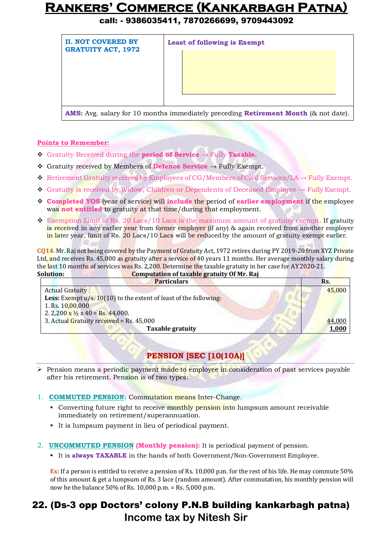### call: - 9386035411, 7870266699, 9709443092

| <b>II. NOT COVERED BY</b><br><b>GRATUITY ACT, 1972</b> | <b>Least of following is Exempt</b>                                                               |
|--------------------------------------------------------|---------------------------------------------------------------------------------------------------|
|                                                        |                                                                                                   |
|                                                        | <b>AMS:</b> Avg. salary for 10 months immediately preceding <b>Retirement Month</b> (& not date). |

#### **Points to Remember:**

- Gratuity Received during the **period of Service** → Fully **Taxable.**
- Gratuity received by Members of **Defence Service** → Fully Exempt.
- Retirement Gratuity received by Employees of CG/Members of Civil Services/LA  $\rightarrow$  Fully Exempt.
- Gratuity is received by Widow, Children or Dependents of Deceased Employee → Fully Exempt.
- **Completed YOS** (year of service) will **include** the period of **earlier employment** if the employee was **not entitled** to gratuity at that time/during that employment.
- $\cdot$  Exemption Limit of Rs. 20 Lacs/10 Lacs is the maximum amount of gratuity exempt. If gratuity is received in any earlier year from former employer (if any) & again received from another employer in later year, limit of Rs. 20 Lacs/10 Lacs will be reduced by the amount of gratuity exempt earlier.

**CQ14.** Mr. Raj not being covered by the Payment of Gratuity Act, 1972 retires during PY 2019-20 from XYZ Private Ltd, and receives Rs. 45,000 as gratuity after a service of 40 years 11 months. Her average monthly salary during the last 10 months of services was Rs. 2,200. Determine the taxable gratuity in her case for AY 2020-21. **Solution: Computation of taxable gratuity Of Mr. Raj**

| oviuuvili                                             | Computation of taxable gratuity of Mr. Raj                                  |        |
|-------------------------------------------------------|-----------------------------------------------------------------------------|--------|
|                                                       | <b>Particulars</b>                                                          | Rs.    |
| <b>Actual Gratuity</b>                                |                                                                             | 45,000 |
|                                                       | <b>Less:</b> Exempt $u/s$ . 10(10) to the extent of least of the following: |        |
| 1. Rs. $10,00,000$                                    |                                                                             |        |
| 2. 2,200 $\frac{x \frac{1}{2}}{2}$ x 40 = Rs. 44,000. |                                                                             |        |
| 3. Actual Gratuity received = Rs. 45,000              |                                                                             | 44,000 |
|                                                       | <b>Taxable gratuity</b>                                                     | 1,000  |
|                                                       |                                                                             |        |

### **PENSION [SEC [10(10A)]**

- $\triangleright$  Pension means a periodic payment made to employee in consideration of past services payable after his retirement. Pension is of two types:
- 1. **COMMUTED PENSION:** Commutation means Inter-Change.
	- Converting future right to receive monthly pension into lumpsum amount receivable immediately on retirement/superannuation.
	- It is lumpsum payment in lieu of periodical payment.
- 2. **UNCOMMUTED PENSION (Monthly pension):** It is periodical payment of pension.
	- It is **always TAXABLE** in the hands of both Government/Non-Government Employee.

**Ex:** If a person is entitled to receive a pension of Rs. 10,000 p.m. for the rest of his life. He may commute 50% of this amount & get a lumpsum of Rs. 3 lace (random amount). After commutation, his monthly pension will now be the balance 50% of Rs. 10,000 p.m. = Rs. 5,000 p.m.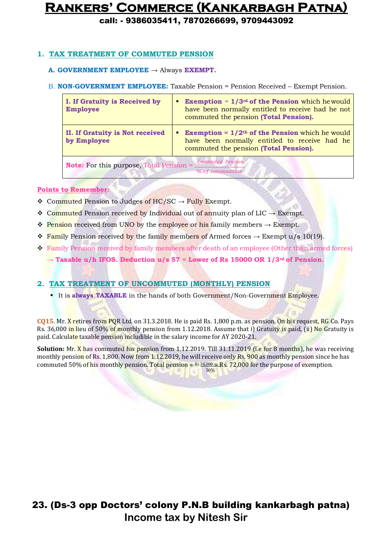call: - 9386035411, 7870266699, 9709443092

#### **1. TAX TREATMENT OF COMMUTED PENSION**

#### **A. GOVERNMENT EMPLOYEE →** Always **EXEMPT.**

#### B. **NON-GOVERNMENT EMPLOYEE:** Taxable Pension = Pension Received – Exempt Pension.

| I. If Gratuity is Received by<br><b>Employee</b>      | <b>Exemption</b> = $1/3^{rd}$ of the Pension which he would<br>п<br>have been normally entitled to receive had he not<br>commuted the pension (Total Pension).                |
|-------------------------------------------------------|-------------------------------------------------------------------------------------------------------------------------------------------------------------------------------|
| <b>II. If Gratuity is Not received</b><br>by Employee | <b>Exemption = <math>1/2</math><sup>th</sup> of the Pension</b> which he would<br>٠<br>have been normally entitled to receive had he<br>commuted the pension (Total Pension). |
| <b>Note:</b> For this purpose, Total Pension =        | Commuted Pension<br>% of commuation                                                                                                                                           |

#### **Points to Remember:**

- $\dots$  Commuted Pension to Judges of HC/SC → Fully Exempt.
- $\dots$  Commuted Pension received by Individual out of annuity plan of LIC → Exempt.
- $\diamond$  Pension received from UNO by the employee or his family members  $\rightarrow$  Exempt.
- Family Pension received by the family members of Armed forces  $\rightarrow$  Exempt u/s 10(19).
- Family Pension received by family members after death of an employee (Other than armed forces)
	- $\rightarrow$  **Taxable u/h IFOS. Deduction u/s 57 = Lower of Rs 15000 OR 1/3<sup>rd</sup> of Pension.**

#### **2. TAX TREATMENT OF UNCOMMUTED (MONTHLY) PENSION**

It is **always TAXABLE** in the hands of both Government/Non-Government Employee.

**CQ15.** Mr. X retires from PQR Ltd. on 31.3.2018. He is paid Rs. 1,800 p.m. as pension. On his request, RG Co. Pays Rs. 36,000 in lieu of 50% of monthly pension from 1.12.2018. Assume that i) Gratuity is paid, (ii) No Gratuity is paid. Calculate taxable pension includible in the salary income for AY 2020-21.

**Solution:** Mr. X has commuted his pension from 1.12.2019. Till 31.11.2019 (i.e for 8 months), he was receiving monthly pension of Rs. 1,800. Now from 1.12.2019, he will receive only Rs. 900 as monthly pension since he has commuted 50% of his monthly pension. Total pension =  $\frac{R_s36,000 - R_s}{R_s}$ , 72,000 for the purpose of exemption. 50%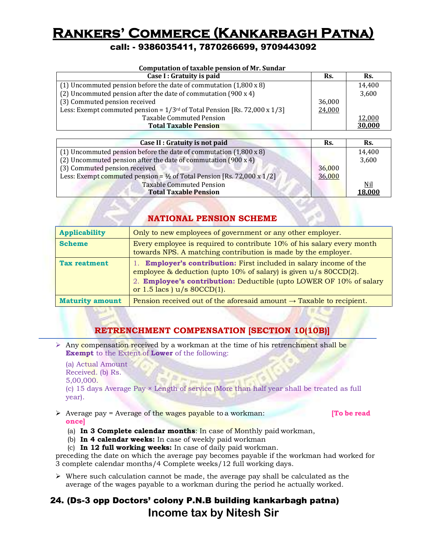### call: - 9386035411, 7870266699, 9709443092

| Computation of taxable pension of Mr. Sundar                                            |        |        |  |
|-----------------------------------------------------------------------------------------|--------|--------|--|
| Case I : Gratuity is paid                                                               | Rs.    | Rs.    |  |
| (1) Uncommuted pension before the date of commutation $(1,800 \times 8)$                |        | 14,400 |  |
| (2) Uncommuted pension after the date of commutation $(900 \times 4)$                   |        | 3,600  |  |
| (3) Commuted pension received                                                           | 36,000 |        |  |
| Less: Exempt commuted pension = $1/3$ <sup>rd</sup> of Total Pension [Rs. 72,000 x 1/3] | 24,000 |        |  |
| <b>Taxable Commuted Pension</b>                                                         |        | 12,000 |  |
| <b>Total Taxable Pension</b>                                                            |        | 30,000 |  |

| Case II : Gratuity is not paid                                                    | Rs.    | Rs.        |
|-----------------------------------------------------------------------------------|--------|------------|
| (1) Uncommuted pension before the date of commutation $(1,800 \times 8)$          |        | 14,400     |
| (2) Uncommuted pension after the date of commutation (900 x 4)                    |        | 3,600      |
| (3) Commuted pension received                                                     | 36,000 |            |
| Less: Exempt commuted pension = $\frac{1}{2}$ of Total Pension [Rs. 72,000 x 1/2] | 36,000 |            |
| <b>Taxable Commuted Pension</b>                                                   |        | <u>Nil</u> |
| <b>Total Taxable Pension</b>                                                      |        | 18,000     |

#### **NATIONAL PENSION SCHEME**

| <b>Applicability</b>   | Only to new employees of government or any other employer.                                                                                                                                                                                                   |
|------------------------|--------------------------------------------------------------------------------------------------------------------------------------------------------------------------------------------------------------------------------------------------------------|
| <b>Scheme</b>          | Every employee is required to contribute 10% of his salary every month<br>towards NPS. A matching contribution is made by the employer.                                                                                                                      |
| <b>Tax reatment</b>    | 1. <b>Employer's contribution:</b> First included in salary income of the<br>employee $\&$ deduction (upto 10% of salary) is given $u/s$ 80CCD(2).<br>2. Employee's contribution: Deductible (upto LOWER OF 10% of salary<br>or $1.5$ lacs ) $u/s$ 80CCD(1). |
| <b>Maturity amount</b> | Pension received out of the aforesaid amount $\rightarrow$ Taxable to recipient.                                                                                                                                                                             |

#### **RETRENCHMENT COMPENSATION [SECTION 10(10B)]**

Any compensation received by a workman at the time of his retrenchment shall be **Exempt** to the Extent of **Lower** of the following:

(a) Actual Amount Received. (b) Rs. 5,00,000.

(c) 15 days Average Pay × Length of service (More than half year shall be treated as full year).

 Average pay = Average of the wages payable to a workman: **[To be read once]**

- 
- (a) **In 3 Complete calendar months**: In case of Monthly paid workman,
- (b) **In 4 calendar weeks:** In case of weekly paid workman
- (c) **In 12 full working weeks:** In case of daily paid workman.

preceding the date on which the average pay becomes payable if the workman had worked for 3 complete calendar months/4 Complete weeks/12 full working days.

 $\triangleright$  Where such calculation cannot be made, the average pay shall be calculated as the average of the wages payable to a workman during the period he actually worked.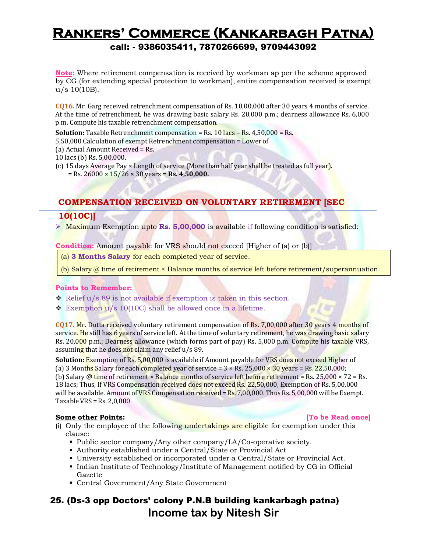**Note:** Where retirement compensation is received by workman ap per the scheme approved by CG (for extending special protection to workman), entire compensation received is exempt u/s 10(10B).

**CQ16.** Mr. Garg received retrenchment compensation of Rs. 10,00,000 after 30 years 4 months of service. At the time of retrenchment, he was drawing basic salary Rs. 20,000 p.m.; dearness allowance Rs. 6,000 p.m. Compute his taxable retrenchment compensation.

**Solution:** Taxable Retrenchment compensation = Rs. 10 lacs – Rs. 4,50,000 = Rs.

5,50,000 Calculation of exempt Retrenchment compensation = Lower of

(a) Actual Amount Received = Rs.

10 lacs (b) Rs. 5,00,000.

(c) 15 days Average Pay  $\times$  Length of service (More than half year shall be treated as full year). = Rs. 26000 × 15/26 × 30 years = **Rs. 4,50,000.**

#### **COMPENSATION RECEIVED ON VOLUNTARY RETIREMENT [SEC**

#### **10(10C)]**

**EXECUTE:** Maximum Exemption upto **Rs. 5,00,000** is available if following condition is satisfied:

**Condition:** Amount payable for VRS should not exceed [Higher of (a) or (b)]

(a) **3 Months Salary** for each completed year of service.

(b) Salary @ time of retirement × Balance months of service left before retirement/superannuation.

#### **Points to Remember:**

- Relief u/s 89 is not available if exemption is taken in this section.
- $\div$  Exemption u/s 10(10C) shall be allowed once in a lifetime.

**CQ17.** Mr. Dutta received voluntary retirement compensation of Rs. 7,00,000 after 30 years 4 months of service. He still has 6 years of service left. At the time of voluntary retirement, he was drawing basic salary Rs. 20,000 p.m.; Dearness allowance (which forms part of pay) Rs. 5,000 p.m. Compute his taxable VRS, assuming that he does not claim any relief u/s 89.

**Solution: Exemption of Rs. 5,00,000 is available if Amount payable for VRS does not exceed Higher of** (a) 3 Months Salary for each completed year of service =  $3 \times$  Rs. 25,000  $\times$  30 years = Rs. 22,50,000; (b) Salary @ time of retirement  $\times$  Balance months of service left before retirement = Rs. 25,000  $\times$  72 = Rs. 18 lacs; Thus, If VRS Compensation received does not exceed Rs. 22,50,000, Exemption of Rs. 5,00,000 will be available. Amount of VRS Compensation received =  $Rs. 7,00,000$ . Thus Rs. 5,00,000 will be Exempt. Taxable VRS =  $Rs. 2,0,000$ .

#### **Some other Points: [To be Read once]**

- (i) Only the employee of the following undertakings are eligible for exemption under this clause:
	- Public sector company/Any other company/LA/Co-operative society.
	- Authority established under a Central/State or Provincial Act
	- University established or incorporated under a Central/State or Provincial Act.
	- Indian Institute of Technology/Institute of Management notified by CG in Official Gazette
	- Central Government/Any State Government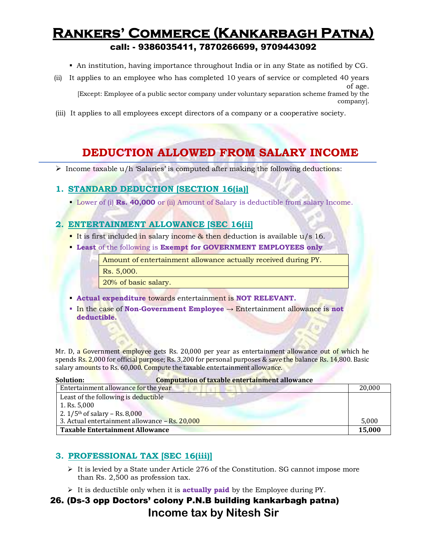An institution, having importance throughout India or in any State as notified by CG.

company].

- (ii) It applies to an employee who has completed 10 years of service or completed 40 years of age. [Except: Employee of a public sector company under voluntary separation scheme framed by the
- (iii) It applies to all employees except directors of a company or a cooperative society.

### **DEDUCTION ALLOWED FROM SALARY INCOME**

Income taxable  $u/h$  'Salaries' is computed after making the following deductions:

#### **1. STANDARD DEDUCTION [SECTION 16(ia)]**

Lower of (i) **Rs. 40,000** or (ii) Amount of Salary is deductible from salary Income.

#### **2. ENTERTAINMENT ALLOWANCE [SEC 16(ii]**

- It is first included in salary income & then deduction is available u/s 16.
- **Least** of the following is **Exempt for GOVERNMENT EMPLOYEES only**

Amount of entertainment allowance actually received during PY.

Rs. 5,000.

20% of basic salary.

- **Actual expenditure** towards entertainment is **NOT RELEVANT.**
- In the case of **Non-Government Employee** → Entertainment allowance is **not deductible.**

Mr. D, a Government employee gets Rs. 20,000 per year as entertainment allowance out of which he spends Rs. 2,000 for official purpose; Rs. 3,200 for personal purposes & save the balance Rs. 14,800. Basic salary amounts to Rs. 60,000. Compute the taxable entertainment allowance.

| <b>Computation of taxable entertainment allowance</b><br>Solution: |        |
|--------------------------------------------------------------------|--------|
| Entertainment allowance for the year                               | 20,000 |
| Least of the following is deductible                               |        |
| 1. Rs. 5,000                                                       |        |
| 2. $1/5$ <sup>th</sup> of salary – Rs. 8,000                       |        |
| 3. Actual entertainment allowance - Rs. 20,000                     | 5.000  |
| <b>Taxable Entertainment Allowance</b>                             | 15,000 |

#### **3. PROFESSIONAL TAX [SEC 16(iii)]**

- $\triangleright$  It is levied by a State under Article 276 of the Constitution. SG cannot impose more than Rs. 2,500 as profession tax.
- It is deductible only when it is **actually paid** by the Employee during PY.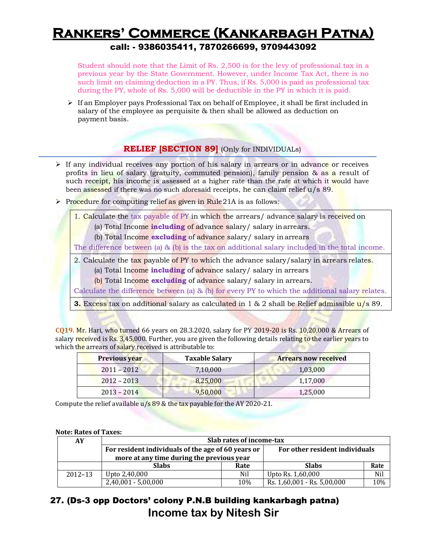Student should note that the Limit of Rs. 2,500 is for the levy of professional tax in a previous year by the State Government. However, under Income Tax Act, there is no such limit on claiming deduction in a PY. Thus, if Rs. 5,000 is paid as professional tax during the PY, whole of Rs. 5,000 will be deductible in the PY in which it is paid.

 $\triangleright$  If an Employer pays Professional Tax on behalf of Employee, it shall be first included in salary of the employee as perquisite & then shall be allowed as deduction on payment basis.

#### **RELIEF [SECTION 89]** (Only for INDIVIDUALs)

- $\triangleright$  If any individual receives any portion of his salary in arrears or in advance or receives profits in lieu of salary (gratuity, commuted pension), family pension & as a result of such receipt, his income is assessed at a higher rate than the rate at which it would have been assessed if there was no such aforesaid receipts, he can claim relief u/s 89.
- Procedure for computing relief as given in Rule 21A is as follows:

1. Calculate the tax payable of PY in which the arrears/ advance salary is received on

- (a) Total Income **including** of advance salary/ salary inarrears.
- (b) Total Income **excluding** of advance salary/ salary inarrears

The difference between (a)  $\&$  (b) is the tax on additional salary included in the total income.

2. Calculate the tax payable of PY to which the advance salary/salary in arrears relates.

- (a) Total Income **including** of advance salary/ salary in arrears
- (b) Total Income **excluding** of advance salary/ salary in arrears.

Calculate the difference between (a) & (b) for every PY to which the additional salary relates.

**3.** Excess tax on additional salary as calculated in 1 & 2 shall be Relief admissible  $u/s$  89.

| <b>CO19.</b> Mr. Hari, who turned 66 years on 28.3.2020, salary for PY 2019-20 is Rs. $10,20,000$ & Arrears of |
|----------------------------------------------------------------------------------------------------------------|
| salary received is Rs. 3,45,000. Further, you are given the following details relating to the earlier years to |
| which the arrears of salary received is attributable to:                                                       |

| <b>Previous year</b> | <b>Taxable Salary</b> | <b>Arrears now received</b> |
|----------------------|-----------------------|-----------------------------|
| $2011 - 2012$        | 7,10,000              | 1,03,000                    |
| $2012 - 2013$        | 8,25,000              | 1,17,000                    |
| $2013 - 2014$        | 9,50,000              | 1,25,000                    |

Compute the relief available  $u/s$  89 & the tax payable for the AY 2020-21.

#### **Note: Rates of Taxes:**

| AY          | Slab rates of income-tax                                                             |     |                             |      |  |
|-------------|--------------------------------------------------------------------------------------|-----|-----------------------------|------|--|
|             | For resident individuals of the age of 60 years or<br>For other resident individuals |     |                             |      |  |
|             | more at any time during the previous year                                            |     |                             |      |  |
|             | <b>Slabs</b><br>Rate                                                                 |     | <b>Slabs</b>                | Rate |  |
| $2012 - 13$ | Upto 2,40,000                                                                        | Nil | Upto Rs. 1,60,000           | Nil  |  |
|             | $2,40,001 - 5,00,000$                                                                | 10% | Rs. 1,60,001 - Rs. 5,00,000 | 10%  |  |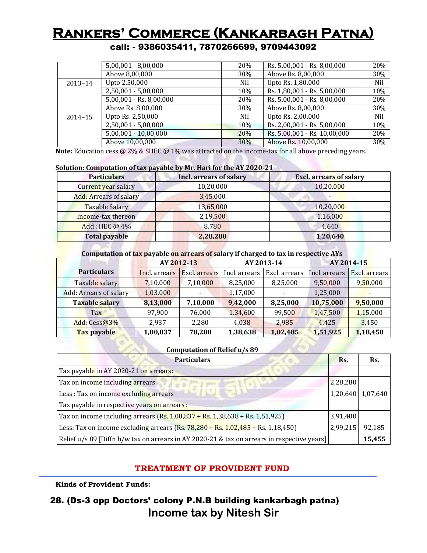call: - 9386035411, 7870266699, 9709443092

|             | $5,00,001 - 8,00,000$       | 20% | Rs. 5,00,001 - Rs. 8,00,000  | 20% |
|-------------|-----------------------------|-----|------------------------------|-----|
|             | Above 8,00,000              | 30% | Above Rs. 8,00,000           | 30% |
| $2013 - 14$ | Upto 2,50,000               | Nil | Upto Rs. 1,80,000            | Nil |
|             | $2,50,001 - 5,00,000$       | 10% | Rs. 1,80,001 - Rs. 5,00,000  | 10% |
|             | $5,00,001 -$ Rs. $8,00,000$ | 20% | Rs. 5,00,001 - Rs. 8,00,000  | 20% |
|             | Above Rs. 8,00,000          | 30% | Above Rs. 8,00,000           | 30% |
| $2014 - 15$ | Upto Rs. 2,50,000           | Nil | Upto Rs. 2,00,000            | Nil |
|             | $2,50,001 - 5,00,000$       | 10% | Rs. 2,00,001 - Rs. 5,00,000  | 10% |
|             | 5,00,001 - 10,00,000        | 20% | Rs. 5,00,001 - Rs. 10,00,000 | 20% |
|             | Above 10,00,000             | 30% | Above Rs. 10,00,000          | 30% |

**Note:** Education cess @ 2% & SHEC @ 1% was attracted on the income-tax for all above preceding years.

#### **Solution: Computation of tax payable by Mr. Hari for the AY 2020-21**

| <b>Particulars</b>            | Incl. arrears of salary | <b>Excl.</b> arrears of salary |
|-------------------------------|-------------------------|--------------------------------|
| Current year salary           | 10,20,000               | 10,20,000                      |
| <b>Add: Arrears of salary</b> | 3,45,000                |                                |
| Taxable Salary                | 13,65,000               | 10,20,000                      |
| Income-tax thereon            | 2,19,500                | 1,16,000                       |
| Add: HEC @ 4%                 | 8,780                   | 4.640                          |
| <b>Total payable</b>          | 2,28,280                | 1,20,640                       |

#### **Computation of tax payable on arrears of salary if charged to tax in respective AYs**

|                        | AY 2012-13    |               | AY 2013-14    |               | AY 2014-15    |               |
|------------------------|---------------|---------------|---------------|---------------|---------------|---------------|
| <b>Particulars</b>     | Incl. arrears | Excl. arrears | Incl. arrears | Excl. arrears | Incl. arrears | Excl. arrears |
| Taxable salary         | 7,10,000      | 7,10,000      | 8,25,000      | 8,25,000      | 9,50,000      | 9,50,000      |
| Add: Arrears of salary | 1,03,000      |               | 1,17,000      |               | 1,25,000      |               |
| <b>Taxable salary</b>  | 8,13,000      | 7,10,000      | 9,42,000      | 8,25,000      | 10,75,000     | 9,50,000      |
| <b>Tax</b>             | 97,900        | 76,000        | 1,34,600      | 99,500        | 1,47,500      | 1,15,000      |
| Add: Cess@3%           | 2,937         | 2,280         | 4,038         | 2,985         | 4,425         | 3,450         |
| Tax payable            | 1,00,837      | 78,280        | 1,38,638      | 1,02,485      | 1,51,925      | 1,18,450      |

#### **Computation of Relief u/s 89**

| <b>Particulars</b>                                                                            | R <sub>S</sub> . | Rs.               |
|-----------------------------------------------------------------------------------------------|------------------|-------------------|
| Tax payable in AY 2020-21 on arrears:                                                         |                  |                   |
| Tax on income including arrears                                                               | 2,28,280         |                   |
| Less : Tax on income excluding arrears                                                        |                  | 1,20,640 1,07,640 |
| Tax payable in respective years on arrears :                                                  |                  |                   |
| Tax on income including arrears (Rs. 1,00,837 + Rs. 1,38,638 + Rs. 1,51,925)                  | 3,91,400         |                   |
| Less: Tax on income excluding arrears (Rs. $78,280 +$ Rs. $1,02,485 +$ Rs. $1,18,450$ )       | 2,99,215         | 92,185            |
| Relief $u/s$ 89 [Diffn b/w tax on arrears in AY 2020-21 & tax on arrears in respective years] |                  | 15,455            |

#### **TREATMENT OF PROVIDENT FUND**

**Kinds of Provident Funds:**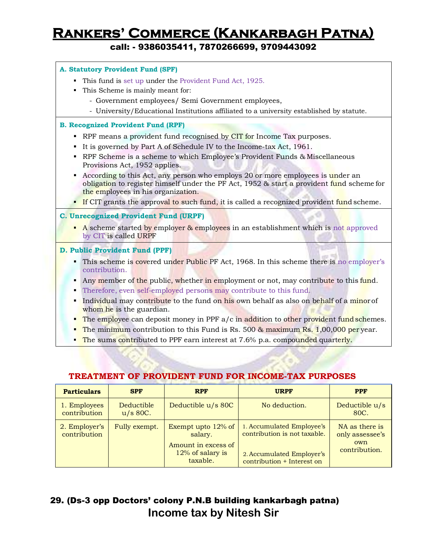call: - 9386035411, 7870266699, 9709443092

#### **A. Statutory Provident Fund (SPF)**

- This fund is set up under the Provident Fund Act, 1925.
- This Scheme is mainly meant for:
	- Government employees/ Semi Government employees,
	- University/Educational Institutions affiliated to a university established by statute.

#### **B. Recognized Provident Fund (RPF)**

- **RPF** means a provident fund recognised by CIT for Income Tax purposes.
- It is governed by Part A of Schedule IV to the Income-tax Act, 1961.
- RPF Scheme is a scheme to which Employee's Provident Funds & Miscellaneous Provisions Act, 1952 applies.
- According to this Act, any person who employs 20 or more employees is under an obligation to register himself under the PF Act, 1952 & start a provident fund scheme for the employees in his organization.
- **If CIT** grants the approval to such fund, it is called a recognized provident fund scheme.

#### **C. Unrecognized Provident Fund (URPF)**

A scheme started by employer & employees in an establishment which is not approved by CIT is called URPF

#### **D. Public Provident Fund (PPF)**

- This scheme is covered under Public PF Act, 1968. In this scheme there is no employer's contribution.
- Any member of the public, whether in employment or not, may contribute to this fund.
- Therefore, even self-employed persons may contribute to this fund.
- Individual may contribute to the fund on his own behalf as also on behalf of a minor of whom he is the guardian.
- The employee can deposit money in PPF  $a/c$  in addition to other provident fund schemes.
- The minimum contribution to this Fund is Rs. 500  $\&$  maximum Rs. 1,00,000 per year.
- The sums contributed to PPF earn interest at 7.6% p.a. compounded quarterly.

| <b>Particulars</b>            | <b>SPF</b>                      | <b>RPF</b>                                                                           | <b>URPF</b>                                                                                                          | <b>PPF</b>                                                |
|-------------------------------|---------------------------------|--------------------------------------------------------------------------------------|----------------------------------------------------------------------------------------------------------------------|-----------------------------------------------------------|
| 1. Employees<br>contribution  | <b>Deductible</b><br>$u/s$ 80C. | Deductible u/s 80C                                                                   | No deduction.                                                                                                        | Deductible u/s<br>80C.                                    |
| 2. Employer's<br>contribution | Fully exempt.                   | Exempt upto 12% of<br>salary.<br>Amount in excess of<br>12% of salary is<br>taxable. | 1. Accumulated Employee's<br>contribution is not taxable.<br>2. Accumulated Employer's<br>contribution + Interest on | NA as there is<br>only assessee's<br>own<br>contribution. |

#### **TREATMENT OF PROVIDENT FUND FOR INCOME-TAX PURPOSES**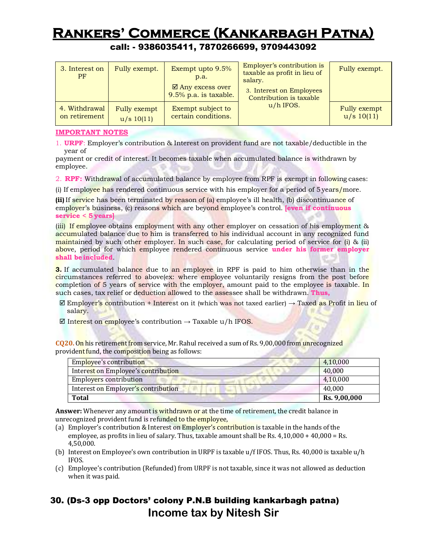### call: - 9386035411, 7870266699, 9709443092

| 3. Interest on<br>PF | Fully exempt. | Exempt upto 9.5%<br>p.a.<br>$\boxtimes$ Any excess over<br>9.5% p.a. is taxable. | Employer's contribution is<br>taxable as profit in lieu of<br>salary.<br>3. Interest on Employees<br>Contribution is taxable | Fully exempt. |
|----------------------|---------------|----------------------------------------------------------------------------------|------------------------------------------------------------------------------------------------------------------------------|---------------|
| 4. Withdrawal        | Fully exempt  | Exempt subject to                                                                | $u/h$ IFOS.                                                                                                                  | Fully exempt  |
| on retirement        | u/s 10(11)    | certain conditions.                                                              |                                                                                                                              | u/s 10(11)    |

#### **IMPORTANT NOTES**

1. **URPF**: Employer's contribution & Interest on provident fund are not taxable/deductible in the year of

payment or credit of interest. It becomes taxable when accumulated balance is withdrawn by employee.

2. **RPF:** Withdrawal of accumulated balance by employee from RPF is exempt in following cases:

(i) If employee has rendered continuous service with his employer for a period of  $5$  years/more.

**(ii)** If service has been terminated by reason of (a) employee's ill health, (b) discontinuance of employer's business, (c) reasons which are beyond employee's control. **[even if continuous service < 5 years]**

(iii) If employee obtains employment with any other employer on cessation of his employment & accumulated balance due to him is transferred to his individual account in any recognized fund maintained by such other employer. In such case, for calculating period of service for (i)  $\&$  (ii) above, period for which employee rendered continuous service **under his former employer shall beincluded**.

**3.** If accumulated balance due to an employee in RPF is paid to him otherwise than in the circumstances referred to above(ex: where employee voluntarily resigns from the post before completion of 5 years of service with the employer, amount paid to the employee is taxable. In such cases, tax relief or deduction allowed to the assessee shall be withdrawn. **Thus,**

- $\boxtimes$  Employer's contribution + Interest on it (which was not taxed earlier)  $\rightarrow$  Taxed as Profit in lieu of salary.
- $\boxtimes$  Interest on employee's contribution → Taxable u/h IFOS.

**CQ20.** On his retirement from service, Mr. Rahul received a sum of Rs. 9,00,000 from unrecognized provident fund, the composition being as follows:

| Employee's contribution             | 4,10,000     |
|-------------------------------------|--------------|
| Interest on Employee's contribution | 40.000       |
| Employers contribution              | 4,10,000     |
| Interest on Employer's contribution | 40,000       |
| Total                               | Rs. 9,00,000 |

**Answer:** Whenever any amount is withdrawn or at the time of retirement, the credit balance in unrecognized provident fund is refunded to the employee,

- (a) Employer's contribution & Interest on Employer's contribution is taxable in the hands of the employee, as profits in lieu of salary. Thus, taxable amount shall be Rs. 4,10,000 + 40,000 = Rs. 4,50,000.
- (b) Interest on Employee's own contribution in URPF is taxable u/f IFOS. Thus, Rs. 40,000 is taxable u/h IFOS.
- (c) Employee's contribution (Refunded) from URPF is not taxable, since it was not allowed as deduction when it was paid.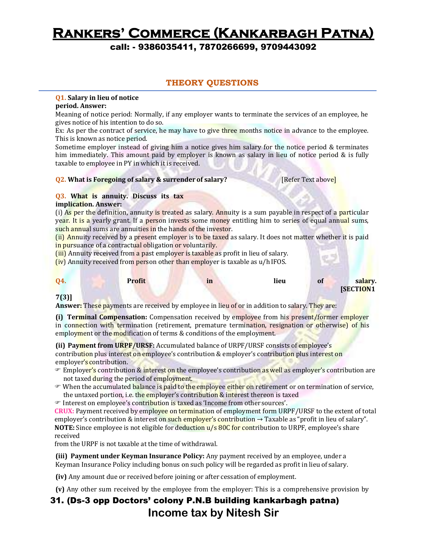call: - 9386035411, 7870266699, 9709443092

#### **THEORY QUESTIONS**

#### **Q1. Salary in lieu of notice**

#### **period. Answer:**

Meaning of notice period: Normally, if any employer wants to terminate the services of an employee, he gives notice of his intention to do so.

Ex: As per the contract of service, he may have to give three months notice in advance to the employee. This is known as notice period.

Sometime employer instead of giving him a notice gives him salary for the notice period & terminates him immediately. This amount paid by employer is known as salary in lieu of notice period & is fully taxable to employee in PY in which it is received.

#### **Q2. What is Foregoing of salary & surrender of salary? [Refer Text above]**

#### **Q3. What is annuity. Discuss its tax**

#### **implication. Answer:**

(i) As per the definition, annuity is treated as salary. Annuity is a sum payable in respect of a particular year. It is a yearly grant. If a person invests some money entitling him to series of equal annual sums, such annual sums are annuities in the hands of the investor.

(ii) Annuity received by a present employer is to be taxed as salary. It does not matter whether it is paid in pursuance of a contractual obligation or voluntarily.

(iii) Annuity received from a past employer is taxable as profit in lieu of salary.

(iv) Annuity received from person other than employer is taxable as u/h IFOS.

| Q4.          | <b>Profit</b> | $\mathbf{m}$ | lieu | <sup>o1</sup> | salary.         |
|--------------|---------------|--------------|------|---------------|-----------------|
| $\mathbf{r}$ |               |              |      |               | <b>SECTION1</b> |

#### **7(3)]**

**Answer:** These payments are received by employee in lieu of or in addition to salary. They are:

**(i) Terminal Compensation:** Compensation received by employee from his present/former employer in connection with termination (retirement, premature termination, resignation or otherwise) of his employment or the modification of terms & conditions of the employment.

**(ii) Payment from URPF/URSF:** Accumulated balance of URPF/URSF consists of employee's contribution plus interest on employee's contribution & employer's contribution plus interest on employer's contribution.

- **Employer's contribution & interest on the employee's contribution as well as employer's contribution are** not taxed during the period of employment.
- When the accumulated balance is paid to the employee either on retirement or on termination of service, the untaxed portion, i.e. the employer's contribution & interest thereon is taxed
- Interest on employee's contribution is taxed as 'Income from other sources'.

**CRUX:** Payment received by employee on termination of employment form URPF/URSF to the extent of total employer's contribution & interest on such employer's contribution  $\rightarrow$  Taxable as "profit in lieu of salary". **NOTE:** Since employee is not eligible for deduction u/s 80C for contribution to URPF, employee's share received

from the URPF is not taxable at the time of withdrawal.

**(iii) Payment under Keyman Insurance Policy:** Any payment received by an employee, under a Keyman Insurance Policy including bonus on such policy will be regarded as profit in lieu of salary.

**(iv)** Any amount due or received before joining or after cessation of employment.

**(v)** Any other sum received by the employee from the employer: This is a comprehensive provision by